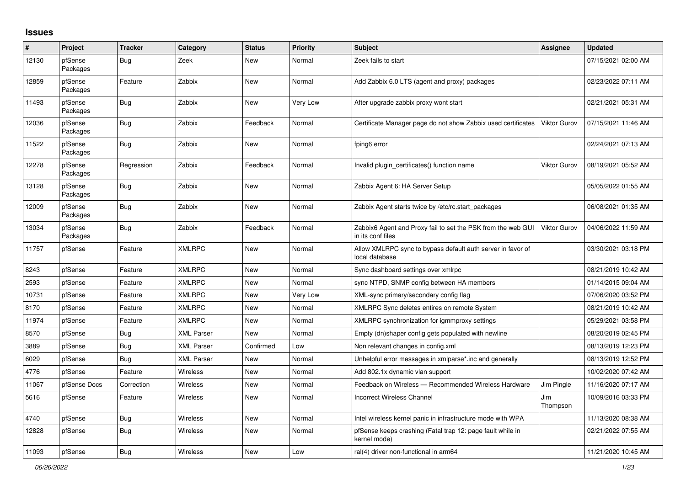## **Issues**

| $\#$  | Project             | <b>Tracker</b> | Category          | <b>Status</b> | <b>Priority</b> | Subject                                                                           | Assignee            | <b>Updated</b>      |
|-------|---------------------|----------------|-------------------|---------------|-----------------|-----------------------------------------------------------------------------------|---------------------|---------------------|
| 12130 | pfSense<br>Packages | Bug            | Zeek              | New           | Normal          | Zeek fails to start                                                               |                     | 07/15/2021 02:00 AM |
| 12859 | pfSense<br>Packages | Feature        | Zabbix            | <b>New</b>    | Normal          | Add Zabbix 6.0 LTS (agent and proxy) packages                                     |                     | 02/23/2022 07:11 AM |
| 11493 | pfSense<br>Packages | <b>Bug</b>     | Zabbix            | <b>New</b>    | Very Low        | After upgrade zabbix proxy wont start                                             |                     | 02/21/2021 05:31 AM |
| 12036 | pfSense<br>Packages | Bug            | Zabbix            | Feedback      | Normal          | Certificate Manager page do not show Zabbix used certificates                     | Viktor Gurov        | 07/15/2021 11:46 AM |
| 11522 | pfSense<br>Packages | Bug            | Zabbix            | <b>New</b>    | Normal          | fping6 error                                                                      |                     | 02/24/2021 07:13 AM |
| 12278 | pfSense<br>Packages | Regression     | Zabbix            | Feedback      | Normal          | Invalid plugin certificates() function name                                       | <b>Viktor Gurov</b> | 08/19/2021 05:52 AM |
| 13128 | pfSense<br>Packages | Bug            | Zabbix            | <b>New</b>    | Normal          | Zabbix Agent 6: HA Server Setup                                                   |                     | 05/05/2022 01:55 AM |
| 12009 | pfSense<br>Packages | Bug            | Zabbix            | <b>New</b>    | Normal          | Zabbix Agent starts twice by /etc/rc.start packages                               |                     | 06/08/2021 01:35 AM |
| 13034 | pfSense<br>Packages | Bug            | Zabbix            | Feedback      | Normal          | Zabbix6 Agent and Proxy fail to set the PSK from the web GUI<br>in its conf files | Viktor Gurov        | 04/06/2022 11:59 AM |
| 11757 | pfSense             | Feature        | <b>XMLRPC</b>     | New           | Normal          | Allow XMLRPC sync to bypass default auth server in favor of<br>local database     |                     | 03/30/2021 03:18 PM |
| 8243  | pfSense             | Feature        | <b>XMLRPC</b>     | <b>New</b>    | Normal          | Sync dashboard settings over xmlrpc                                               |                     | 08/21/2019 10:42 AM |
| 2593  | pfSense             | Feature        | <b>XMLRPC</b>     | New           | Normal          | sync NTPD, SNMP config between HA members                                         |                     | 01/14/2015 09:04 AM |
| 10731 | pfSense             | Feature        | <b>XMLRPC</b>     | New           | Very Low        | XML-sync primary/secondary config flag                                            |                     | 07/06/2020 03:52 PM |
| 8170  | pfSense             | Feature        | <b>XMLRPC</b>     | <b>New</b>    | Normal          | XMLRPC Sync deletes entires on remote System                                      |                     | 08/21/2019 10:42 AM |
| 11974 | pfSense             | Feature        | <b>XMLRPC</b>     | New           | Normal          | XMLRPC synchronization for igmmproxy settings                                     |                     | 05/29/2021 03:58 PM |
| 8570  | pfSense             | Bug            | <b>XML Parser</b> | New           | Normal          | Empty (dn)shaper config gets populated with newline                               |                     | 08/20/2019 02:45 PM |
| 3889  | pfSense             | <b>Bug</b>     | <b>XML Parser</b> | Confirmed     | Low             | Non relevant changes in config.xml                                                |                     | 08/13/2019 12:23 PM |
| 6029  | pfSense             | Bug            | <b>XML Parser</b> | <b>New</b>    | Normal          | Unhelpful error messages in xmlparse* inc and generally                           |                     | 08/13/2019 12:52 PM |
| 4776  | pfSense             | Feature        | <b>Wireless</b>   | New           | Normal          | Add 802.1x dynamic vlan support                                                   |                     | 10/02/2020 07:42 AM |
| 11067 | pfSense Docs        | Correction     | <b>Wireless</b>   | New           | Normal          | Feedback on Wireless - Recommended Wireless Hardware                              | Jim Pingle          | 11/16/2020 07:17 AM |
| 5616  | pfSense             | Feature        | <b>Wireless</b>   | <b>New</b>    | Normal          | Incorrect Wireless Channel                                                        | Jim<br>Thompson     | 10/09/2016 03:33 PM |
| 4740  | pfSense             | <b>Bug</b>     | Wireless          | <b>New</b>    | Normal          | Intel wireless kernel panic in infrastructure mode with WPA                       |                     | 11/13/2020 08:38 AM |
| 12828 | pfSense             | Bug            | <b>Wireless</b>   | <b>New</b>    | Normal          | pfSense keeps crashing (Fatal trap 12: page fault while in<br>kernel mode)        |                     | 02/21/2022 07:55 AM |
| 11093 | pfSense             | <b>Bug</b>     | Wireless          | <b>New</b>    | Low             | ral(4) driver non-functional in arm64                                             |                     | 11/21/2020 10:45 AM |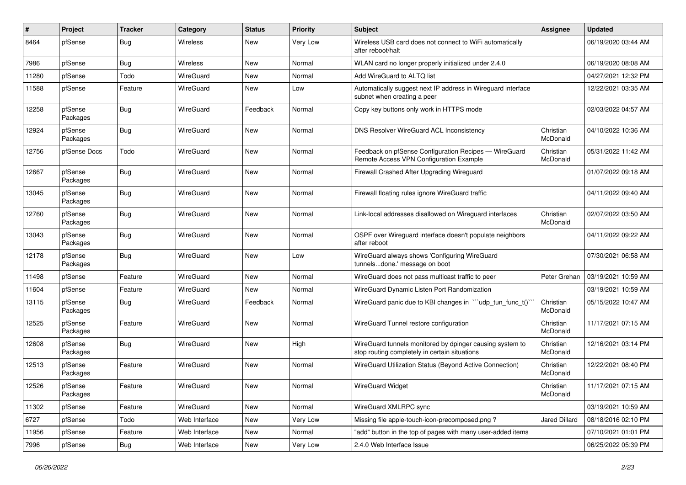| #     | Project             | <b>Tracker</b> | Category      | <b>Status</b> | <b>Priority</b> | <b>Subject</b>                                                                                            | Assignee              | <b>Updated</b>      |
|-------|---------------------|----------------|---------------|---------------|-----------------|-----------------------------------------------------------------------------------------------------------|-----------------------|---------------------|
| 8464  | pfSense             | <b>Bug</b>     | Wireless      | New           | Very Low        | Wireless USB card does not connect to WiFi automatically<br>after reboot/halt                             |                       | 06/19/2020 03:44 AM |
| 7986  | pfSense             | Bug            | Wireless      | New           | Normal          | WLAN card no longer properly initialized under 2.4.0                                                      |                       | 06/19/2020 08:08 AM |
| 11280 | pfSense             | Todo           | WireGuard     | New           | Normal          | Add WireGuard to ALTQ list                                                                                |                       | 04/27/2021 12:32 PM |
| 11588 | pfSense             | Feature        | WireGuard     | New           | Low             | Automatically suggest next IP address in Wireguard interface<br>subnet when creating a peer               |                       | 12/22/2021 03:35 AM |
| 12258 | pfSense<br>Packages | <b>Bug</b>     | WireGuard     | Feedback      | Normal          | Copy key buttons only work in HTTPS mode                                                                  |                       | 02/03/2022 04:57 AM |
| 12924 | pfSense<br>Packages | <b>Bug</b>     | WireGuard     | New           | Normal          | DNS Resolver WireGuard ACL Inconsistency                                                                  | Christian<br>McDonald | 04/10/2022 10:36 AM |
| 12756 | pfSense Docs        | Todo           | WireGuard     | <b>New</b>    | Normal          | Feedback on pfSense Configuration Recipes - WireGuard<br>Remote Access VPN Configuration Example          | Christian<br>McDonald | 05/31/2022 11:42 AM |
| 12667 | pfSense<br>Packages | <b>Bug</b>     | WireGuard     | <b>New</b>    | Normal          | Firewall Crashed After Upgrading Wireguard                                                                |                       | 01/07/2022 09:18 AM |
| 13045 | pfSense<br>Packages | <b>Bug</b>     | WireGuard     | <b>New</b>    | Normal          | Firewall floating rules ignore WireGuard traffic                                                          |                       | 04/11/2022 09:40 AM |
| 12760 | pfSense<br>Packages | <b>Bug</b>     | WireGuard     | New           | Normal          | Link-local addresses disallowed on Wireguard interfaces                                                   | Christian<br>McDonald | 02/07/2022 03:50 AM |
| 13043 | pfSense<br>Packages | <b>Bug</b>     | WireGuard     | <b>New</b>    | Normal          | OSPF over Wireguard interface doesn't populate neighbors<br>after reboot                                  |                       | 04/11/2022 09:22 AM |
| 12178 | pfSense<br>Packages | <b>Bug</b>     | WireGuard     | New           | Low             | WireGuard always shows 'Configuring WireGuard<br>tunnelsdone.' message on boot                            |                       | 07/30/2021 06:58 AM |
| 11498 | pfSense             | Feature        | WireGuard     | New           | Normal          | WireGuard does not pass multicast traffic to peer                                                         | Peter Grehan          | 03/19/2021 10:59 AM |
| 11604 | pfSense             | Feature        | WireGuard     | New           | Normal          | WireGuard Dynamic Listen Port Randomization                                                               |                       | 03/19/2021 10:59 AM |
| 13115 | pfSense<br>Packages | <b>Bug</b>     | WireGuard     | Feedback      | Normal          | WireGuard panic due to KBI changes in "'udp_tun_func_t()'                                                 | Christian<br>McDonald | 05/15/2022 10:47 AM |
| 12525 | pfSense<br>Packages | Feature        | WireGuard     | <b>New</b>    | Normal          | WireGuard Tunnel restore configuration                                                                    | Christian<br>McDonald | 11/17/2021 07:15 AM |
| 12608 | pfSense<br>Packages | <b>Bug</b>     | WireGuard     | New           | High            | WireGuard tunnels monitored by dpinger causing system to<br>stop routing completely in certain situations | Christian<br>McDonald | 12/16/2021 03:14 PM |
| 12513 | pfSense<br>Packages | Feature        | WireGuard     | New           | Normal          | WireGuard Utilization Status (Beyond Active Connection)                                                   | Christian<br>McDonald | 12/22/2021 08:40 PM |
| 12526 | pfSense<br>Packages | Feature        | WireGuard     | New           | Normal          | <b>WireGuard Widget</b>                                                                                   | Christian<br>McDonald | 11/17/2021 07:15 AM |
| 11302 | pfSense             | Feature        | WireGuard     | New           | Normal          | WireGuard XMLRPC sync                                                                                     |                       | 03/19/2021 10:59 AM |
| 6727  | pfSense             | Todo           | Web Interface | New           | Very Low        | Missing file apple-touch-icon-precomposed.png?                                                            | Jared Dillard         | 08/18/2016 02:10 PM |
| 11956 | pfSense             | Feature        | Web Interface | New           | Normal          | "add" button in the top of pages with many user-added items                                               |                       | 07/10/2021 01:01 PM |
| 7996  | pfSense             | <b>Bug</b>     | Web Interface | New           | Very Low        | 2.4.0 Web Interface Issue                                                                                 |                       | 06/25/2022 05:39 PM |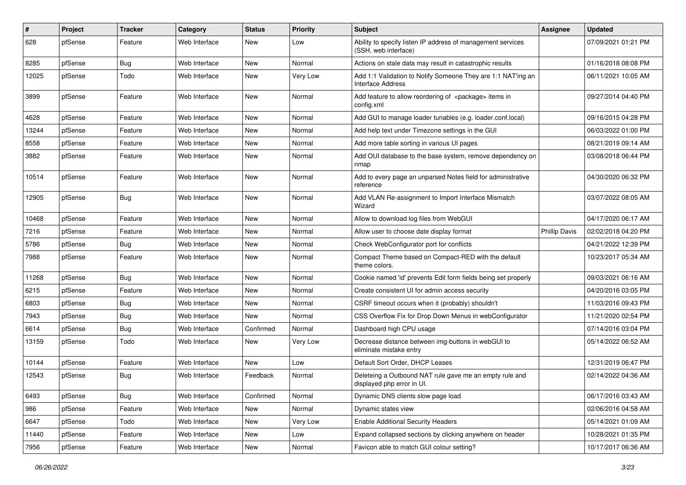| ∦     | Project | <b>Tracker</b> | Category      | <b>Status</b> | <b>Priority</b> | <b>Subject</b>                                                                           | <b>Assignee</b>      | <b>Updated</b>      |
|-------|---------|----------------|---------------|---------------|-----------------|------------------------------------------------------------------------------------------|----------------------|---------------------|
| 628   | pfSense | Feature        | Web Interface | New           | Low             | Ability to specify listen IP address of management services<br>(SSH, web interface)      |                      | 07/09/2021 01:21 PM |
| 8285  | pfSense | Bug            | Web Interface | <b>New</b>    | Normal          | Actions on stale data may result in catastrophic results                                 |                      | 01/16/2018 08:08 PM |
| 12025 | pfSense | Todo           | Web Interface | New           | Very Low        | Add 1:1 Validation to Notify Someone They are 1:1 NAT'ing an<br><b>Interface Address</b> |                      | 06/11/2021 10:05 AM |
| 3899  | pfSense | Feature        | Web Interface | New           | Normal          | Add feature to allow reordering of <package> items in<br/>config.xml</package>           |                      | 09/27/2014 04:40 PM |
| 4628  | pfSense | Feature        | Web Interface | <b>New</b>    | Normal          | Add GUI to manage loader tunables (e.g. loader.conf.local)                               |                      | 09/16/2015 04:28 PM |
| 13244 | pfSense | Feature        | Web Interface | New           | Normal          | Add help text under Timezone settings in the GUI                                         |                      | 06/03/2022 01:00 PM |
| 8558  | pfSense | Feature        | Web Interface | <b>New</b>    | Normal          | Add more table sorting in various UI pages                                               |                      | 08/21/2019 09:14 AM |
| 3882  | pfSense | Feature        | Web Interface | New           | Normal          | Add OUI database to the base system, remove dependency on<br>nmap                        |                      | 03/08/2018 06:44 PM |
| 10514 | pfSense | Feature        | Web Interface | New           | Normal          | Add to every page an unparsed Notes field for administrative<br>reference                |                      | 04/30/2020 06:32 PM |
| 12905 | pfSense | Bug            | Web Interface | New           | Normal          | Add VLAN Re-assignment to Import Interface Mismatch<br>Wizard                            |                      | 03/07/2022 08:05 AM |
| 10468 | pfSense | Feature        | Web Interface | New           | Normal          | Allow to download log files from WebGUI                                                  |                      | 04/17/2020 06:17 AM |
| 7216  | pfSense | Feature        | Web Interface | New           | Normal          | Allow user to choose date display format                                                 | <b>Phillip Davis</b> | 02/02/2018 04:20 PM |
| 5786  | pfSense | <b>Bug</b>     | Web Interface | New           | Normal          | Check WebConfigurator port for conflicts                                                 |                      | 04/21/2022 12:39 PM |
| 7988  | pfSense | Feature        | Web Interface | New           | Normal          | Compact Theme based on Compact-RED with the default<br>theme colors.                     |                      | 10/23/2017 05:34 AM |
| 11268 | pfSense | Bug            | Web Interface | New           | Normal          | Cookie named 'id' prevents Edit form fields being set properly                           |                      | 09/03/2021 06:16 AM |
| 6215  | pfSense | Feature        | Web Interface | New           | Normal          | Create consistent UI for admin access security                                           |                      | 04/20/2016 03:05 PM |
| 6803  | pfSense | Bug            | Web Interface | New           | Normal          | CSRF timeout occurs when it (probably) shouldn't                                         |                      | 11/03/2016 09:43 PM |
| 7943  | pfSense | Bug            | Web Interface | New           | Normal          | CSS Overflow Fix for Drop Down Menus in webConfigurator                                  |                      | 11/21/2020 02:54 PM |
| 6614  | pfSense | Bug            | Web Interface | Confirmed     | Normal          | Dashboard high CPU usage                                                                 |                      | 07/14/2016 03:04 PM |
| 13159 | pfSense | Todo           | Web Interface | New           | <b>Very Low</b> | Decrease distance between img-buttons in webGUI to<br>eliminate mistake entry            |                      | 05/14/2022 06:52 AM |
| 10144 | pfSense | Feature        | Web Interface | New           | Low             | Default Sort Order, DHCP Leases                                                          |                      | 12/31/2019 06:47 PM |
| 12543 | pfSense | <b>Bug</b>     | Web Interface | Feedback      | Normal          | Deleteing a Outbound NAT rule gave me an empty rule and<br>displayed php error in UI.    |                      | 02/14/2022 04:36 AM |
| 6493  | pfSense | <b>Bug</b>     | Web Interface | Confirmed     | Normal          | Dynamic DNS clients slow page load                                                       |                      | 06/17/2016 03:43 AM |
| 986   | pfSense | Feature        | Web Interface | New           | Normal          | Dynamic states view                                                                      |                      | 02/06/2016 04:58 AM |
| 6647  | pfSense | Todo           | Web Interface | New           | Very Low        | <b>Enable Additional Security Headers</b>                                                |                      | 05/14/2021 01:09 AM |
| 11440 | pfSense | Feature        | Web Interface | New           | Low             | Expand collapsed sections by clicking anywhere on header                                 |                      | 10/28/2021 01:35 PM |
| 7956  | pfSense | Feature        | Web Interface | New           | Normal          | Favicon able to match GUI colour setting?                                                |                      | 10/17/2017 06:36 AM |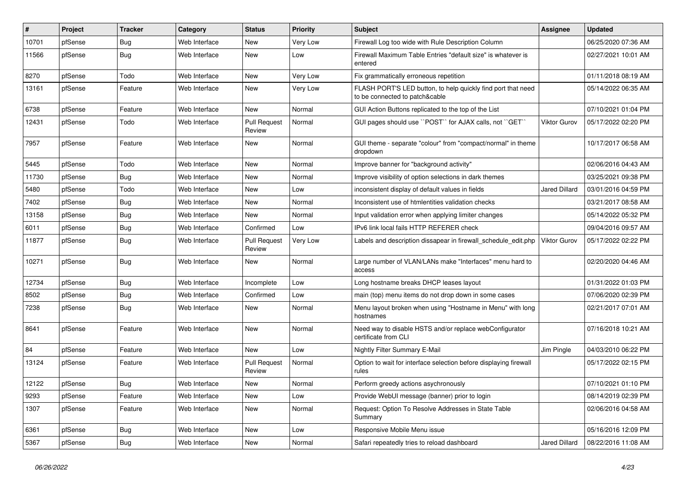| #     | Project | <b>Tracker</b> | Category      | <b>Status</b>                 | <b>Priority</b> | <b>Subject</b>                                                                                 | <b>Assignee</b>      | <b>Updated</b>      |
|-------|---------|----------------|---------------|-------------------------------|-----------------|------------------------------------------------------------------------------------------------|----------------------|---------------------|
| 10701 | pfSense | Bug            | Web Interface | <b>New</b>                    | Very Low        | Firewall Log too wide with Rule Description Column                                             |                      | 06/25/2020 07:36 AM |
| 11566 | pfSense | <b>Bug</b>     | Web Interface | New                           | Low             | Firewall Maximum Table Entries "default size" is whatever is<br>entered                        |                      | 02/27/2021 10:01 AM |
| 8270  | pfSense | Todo           | Web Interface | <b>New</b>                    | Very Low        | Fix grammatically erroneous repetition                                                         |                      | 01/11/2018 08:19 AM |
| 13161 | pfSense | Feature        | Web Interface | New                           | Very Low        | FLASH PORT'S LED button, to help quickly find port that need<br>to be connected to patch&cable |                      | 05/14/2022 06:35 AM |
| 6738  | pfSense | Feature        | Web Interface | New                           | Normal          | GUI Action Buttons replicated to the top of the List                                           |                      | 07/10/2021 01:04 PM |
| 12431 | pfSense | Todo           | Web Interface | <b>Pull Request</b><br>Review | Normal          | GUI pages should use "POST" for AJAX calls, not "GET"                                          | <b>Viktor Gurov</b>  | 05/17/2022 02:20 PM |
| 7957  | pfSense | Feature        | Web Interface | New                           | Normal          | GUI theme - separate "colour" from "compact/normal" in theme<br>dropdown                       |                      | 10/17/2017 06:58 AM |
| 5445  | pfSense | Todo           | Web Interface | <b>New</b>                    | Normal          | Improve banner for "background activity"                                                       |                      | 02/06/2016 04:43 AM |
| 11730 | pfSense | Bug            | Web Interface | New                           | Normal          | Improve visibility of option selections in dark themes                                         |                      | 03/25/2021 09:38 PM |
| 5480  | pfSense | Todo           | Web Interface | <b>New</b>                    | Low             | inconsistent display of default values in fields                                               | <b>Jared Dillard</b> | 03/01/2016 04:59 PM |
| 7402  | pfSense | Bug            | Web Interface | New                           | Normal          | Inconsistent use of htmlentities validation checks                                             |                      | 03/21/2017 08:58 AM |
| 13158 | pfSense | Bug            | Web Interface | <b>New</b>                    | Normal          | Input validation error when applying limiter changes                                           |                      | 05/14/2022 05:32 PM |
| 6011  | pfSense | Bug            | Web Interface | Confirmed                     | Low             | IPv6 link local fails HTTP REFERER check                                                       |                      | 09/04/2016 09:57 AM |
| 11877 | pfSense | <b>Bug</b>     | Web Interface | <b>Pull Request</b><br>Review | Very Low        | Labels and description dissapear in firewall schedule edit.php                                 | <b>Viktor Gurov</b>  | 05/17/2022 02:22 PM |
| 10271 | pfSense | Bug            | Web Interface | <b>New</b>                    | Normal          | Large number of VLAN/LANs make "Interfaces" menu hard to<br>access                             |                      | 02/20/2020 04:46 AM |
| 12734 | pfSense | <b>Bug</b>     | Web Interface | Incomplete                    | Low             | Long hostname breaks DHCP leases layout                                                        |                      | 01/31/2022 01:03 PM |
| 8502  | pfSense | <b>Bug</b>     | Web Interface | Confirmed                     | Low             | main (top) menu items do not drop down in some cases                                           |                      | 07/06/2020 02:39 PM |
| 7238  | pfSense | <b>Bug</b>     | Web Interface | <b>New</b>                    | Normal          | Menu layout broken when using "Hostname in Menu" with long<br>hostnames                        |                      | 02/21/2017 07:01 AM |
| 8641  | pfSense | Feature        | Web Interface | <b>New</b>                    | Normal          | Need way to disable HSTS and/or replace webConfigurator<br>certificate from CLI                |                      | 07/16/2018 10:21 AM |
| 84    | pfSense | Feature        | Web Interface | New                           | Low             | Nightly Filter Summary E-Mail                                                                  | Jim Pingle           | 04/03/2010 06:22 PM |
| 13124 | pfSense | Feature        | Web Interface | <b>Pull Request</b><br>Review | Normal          | Option to wait for interface selection before displaying firewall<br>rules                     |                      | 05/17/2022 02:15 PM |
| 12122 | pfSense | Bug            | Web Interface | <b>New</b>                    | Normal          | Perform greedy actions asychronously                                                           |                      | 07/10/2021 01:10 PM |
| 9293  | pfSense | Feature        | Web Interface | New                           | Low             | Provide WebUI message (banner) prior to login                                                  |                      | 08/14/2019 02:39 PM |
| 1307  | pfSense | Feature        | Web Interface | <b>New</b>                    | Normal          | Request: Option To Resolve Addresses in State Table<br>Summary                                 |                      | 02/06/2016 04:58 AM |
| 6361  | pfSense | Bug            | Web Interface | <b>New</b>                    | Low             | Responsive Mobile Menu issue                                                                   |                      | 05/16/2016 12:09 PM |
| 5367  | pfSense | Bug            | Web Interface | New                           | Normal          | Safari repeatedly tries to reload dashboard                                                    | <b>Jared Dillard</b> | 08/22/2016 11:08 AM |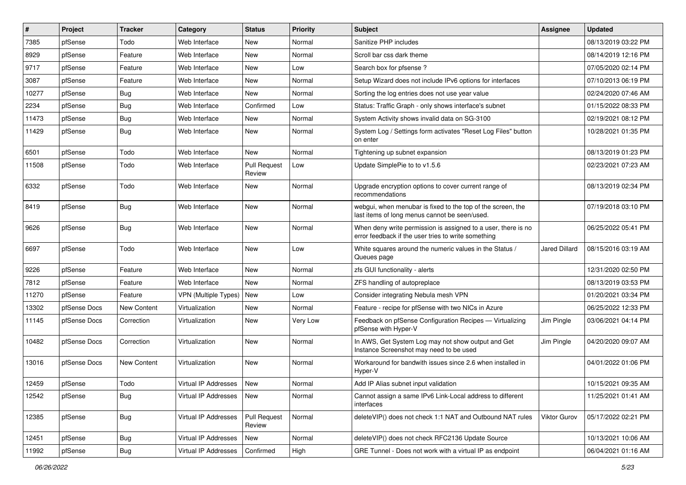| $\vert$ # | Project      | <b>Tracker</b> | Category                    | <b>Status</b>                 | <b>Priority</b> | Subject                                                                                                              | <b>Assignee</b>      | <b>Updated</b>      |
|-----------|--------------|----------------|-----------------------------|-------------------------------|-----------------|----------------------------------------------------------------------------------------------------------------------|----------------------|---------------------|
| 7385      | pfSense      | Todo           | Web Interface               | New                           | Normal          | Sanitize PHP includes                                                                                                |                      | 08/13/2019 03:22 PM |
| 8929      | pfSense      | Feature        | Web Interface               | <b>New</b>                    | Normal          | Scroll bar css dark theme                                                                                            |                      | 08/14/2019 12:16 PM |
| 9717      | pfSense      | Feature        | Web Interface               | New                           | Low             | Search box for pfsense?                                                                                              |                      | 07/05/2020 02:14 PM |
| 3087      | pfSense      | Feature        | Web Interface               | New                           | Normal          | Setup Wizard does not include IPv6 options for interfaces                                                            |                      | 07/10/2013 06:19 PM |
| 10277     | pfSense      | <b>Bug</b>     | Web Interface               | <b>New</b>                    | Normal          | Sorting the log entries does not use year value                                                                      |                      | 02/24/2020 07:46 AM |
| 2234      | pfSense      | Bug            | Web Interface               | Confirmed                     | Low             | Status: Traffic Graph - only shows interface's subnet                                                                |                      | 01/15/2022 08:33 PM |
| 11473     | pfSense      | Bug            | Web Interface               | New                           | Normal          | System Activity shows invalid data on SG-3100                                                                        |                      | 02/19/2021 08:12 PM |
| 11429     | pfSense      | <b>Bug</b>     | Web Interface               | New                           | Normal          | System Log / Settings form activates "Reset Log Files" button<br>on enter                                            |                      | 10/28/2021 01:35 PM |
| 6501      | pfSense      | Todo           | Web Interface               | <b>New</b>                    | Normal          | Tightening up subnet expansion                                                                                       |                      | 08/13/2019 01:23 PM |
| 11508     | pfSense      | Todo           | Web Interface               | <b>Pull Request</b><br>Review | Low             | Update SimplePie to to v1.5.6                                                                                        |                      | 02/23/2021 07:23 AM |
| 6332      | pfSense      | Todo           | Web Interface               | <b>New</b>                    | Normal          | Upgrade encryption options to cover current range of<br>recommendations                                              |                      | 08/13/2019 02:34 PM |
| 8419      | pfSense      | Bug            | Web Interface               | New                           | Normal          | webgui, when menubar is fixed to the top of the screen, the<br>last items of long menus cannot be seen/used.         |                      | 07/19/2018 03:10 PM |
| 9626      | pfSense      | <b>Bug</b>     | Web Interface               | New                           | Normal          | When deny write permission is assigned to a user, there is no<br>error feedback if the user tries to write something |                      | 06/25/2022 05:41 PM |
| 6697      | pfSense      | Todo           | Web Interface               | <b>New</b>                    | Low             | White squares around the numeric values in the Status /<br>Queues page                                               | <b>Jared Dillard</b> | 08/15/2016 03:19 AM |
| 9226      | pfSense      | Feature        | Web Interface               | <b>New</b>                    | Normal          | zfs GUI functionality - alerts                                                                                       |                      | 12/31/2020 02:50 PM |
| 7812      | pfSense      | Feature        | Web Interface               | New                           | Normal          | ZFS handling of autopreplace                                                                                         |                      | 08/13/2019 03:53 PM |
| 11270     | pfSense      | Feature        | <b>VPN</b> (Multiple Types) | New                           | Low             | Consider integrating Nebula mesh VPN                                                                                 |                      | 01/20/2021 03:34 PM |
| 13302     | pfSense Docs | New Content    | Virtualization              | New                           | Normal          | Feature - recipe for pfSense with two NICs in Azure                                                                  |                      | 06/25/2022 12:33 PM |
| 11145     | pfSense Docs | Correction     | Virtualization              | New                           | Very Low        | Feedback on pfSense Configuration Recipes - Virtualizing<br>pfSense with Hyper-V                                     | Jim Pingle           | 03/06/2021 04:14 PM |
| 10482     | pfSense Docs | Correction     | Virtualization              | <b>New</b>                    | Normal          | In AWS, Get System Log may not show output and Get<br>Instance Screenshot may need to be used                        | Jim Pingle           | 04/20/2020 09:07 AM |
| 13016     | pfSense Docs | New Content    | Virtualization              | <b>New</b>                    | Normal          | Workaround for bandwith issues since 2.6 when installed in<br>Hyper-V                                                |                      | 04/01/2022 01:06 PM |
| 12459     | pfSense      | Todo           | Virtual IP Addresses        | New                           | Normal          | Add IP Alias subnet input validation                                                                                 |                      | 10/15/2021 09:35 AM |
| 12542     | pfSense      | <b>Bug</b>     | Virtual IP Addresses        | New                           | Normal          | Cannot assign a same IPv6 Link-Local address to different<br>interfaces                                              |                      | 11/25/2021 01:41 AM |
| 12385     | pfSense      | Bug            | Virtual IP Addresses        | <b>Pull Request</b><br>Review | Normal          | deleteVIP() does not check 1:1 NAT and Outbound NAT rules                                                            | Viktor Gurov         | 05/17/2022 02:21 PM |
| 12451     | pfSense      | Bug            | Virtual IP Addresses        | New                           | Normal          | deleteVIP() does not check RFC2136 Update Source                                                                     |                      | 10/13/2021 10:06 AM |
| 11992     | pfSense      | Bug            | Virtual IP Addresses        | Confirmed                     | High            | GRE Tunnel - Does not work with a virtual IP as endpoint                                                             |                      | 06/04/2021 01:16 AM |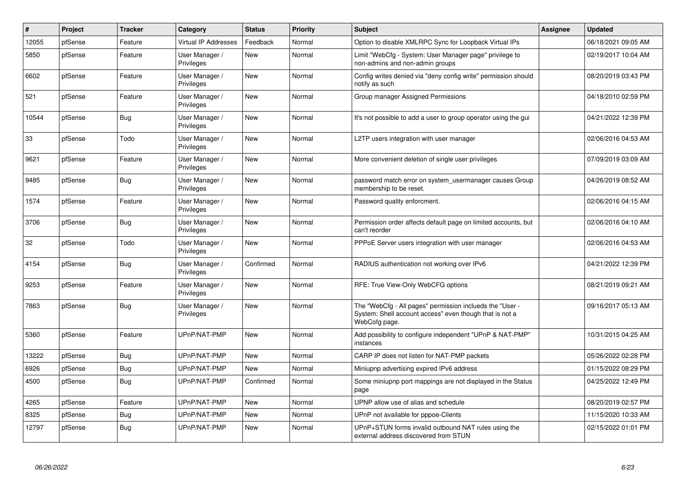| #     | Project | <b>Tracker</b> | Category                     | <b>Status</b> | Priority | <b>Subject</b>                                                                                                                       | <b>Assignee</b> | <b>Updated</b>      |
|-------|---------|----------------|------------------------------|---------------|----------|--------------------------------------------------------------------------------------------------------------------------------------|-----------------|---------------------|
| 12055 | pfSense | Feature        | Virtual IP Addresses         | Feedback      | Normal   | Option to disable XMLRPC Sync for Loopback Virtual IPs                                                                               |                 | 06/18/2021 09:05 AM |
| 5850  | pfSense | Feature        | User Manager /<br>Privileges | New           | Normal   | Limit "WebCfg - System: User Manager page" privilege to<br>non-admins and non-admin groups                                           |                 | 02/19/2017 10:04 AM |
| 6602  | pfSense | Feature        | User Manager /<br>Privileges | <b>New</b>    | Normal   | Config writes denied via "deny config write" permission should<br>notify as such                                                     |                 | 08/20/2019 03:43 PM |
| 521   | pfSense | Feature        | User Manager /<br>Privileges | New           | Normal   | Group manager Assigned Permissions                                                                                                   |                 | 04/18/2010 02:59 PM |
| 10544 | pfSense | Bug            | User Manager /<br>Privileges | <b>New</b>    | Normal   | It's not possible to add a user to group operator using the gui                                                                      |                 | 04/21/2022 12:39 PM |
| 33    | pfSense | Todo           | User Manager /<br>Privileges | <b>New</b>    | Normal   | L2TP users integration with user manager                                                                                             |                 | 02/06/2016 04:53 AM |
| 9621  | pfSense | Feature        | User Manager /<br>Privileges | New           | Normal   | More convenient deletion of single user privileges                                                                                   |                 | 07/09/2019 03:09 AM |
| 9485  | pfSense | <b>Bug</b>     | User Manager /<br>Privileges | New           | Normal   | password match error on system usermanager causes Group<br>membership to be reset.                                                   |                 | 04/26/2019 08:52 AM |
| 1574  | pfSense | Feature        | User Manager /<br>Privileges | New           | Normal   | Password quality enforcment.                                                                                                         |                 | 02/06/2016 04:15 AM |
| 3706  | pfSense | Bug            | User Manager /<br>Privileges | New           | Normal   | Permission order affects default page on limited accounts, but<br>can't reorder                                                      |                 | 02/06/2016 04:10 AM |
| 32    | pfSense | Todo           | User Manager /<br>Privileges | New           | Normal   | PPPoE Server users integration with user manager                                                                                     |                 | 02/06/2016 04:53 AM |
| 4154  | pfSense | Bug            | User Manager /<br>Privileges | Confirmed     | Normal   | RADIUS authentication not working over IPv6                                                                                          |                 | 04/21/2022 12:39 PM |
| 9253  | pfSense | Feature        | User Manager /<br>Privileges | <b>New</b>    | Normal   | RFE: True View-Only WebCFG options                                                                                                   |                 | 08/21/2019 09:21 AM |
| 7863  | pfSense | <b>Bug</b>     | User Manager /<br>Privileges | New           | Normal   | The "WebCfg - All pages" permission inclueds the "User -<br>System: Shell account access" even though that is not a<br>WebCofg page. |                 | 09/16/2017 05:13 AM |
| 5360  | pfSense | Feature        | UPnP/NAT-PMP                 | New           | Normal   | Add possibility to configure independent "UPnP & NAT-PMP"<br>instances                                                               |                 | 10/31/2015 04:25 AM |
| 13222 | pfSense | <b>Bug</b>     | UPnP/NAT-PMP                 | New           | Normal   | CARP IP does not listen for NAT-PMP packets                                                                                          |                 | 05/26/2022 02:28 PM |
| 6926  | pfSense | Bug            | UPnP/NAT-PMP                 | New           | Normal   | Miniupnp advertising expired IPv6 address                                                                                            |                 | 01/15/2022 08:29 PM |
| 4500  | pfSense | <b>Bug</b>     | UPnP/NAT-PMP                 | Confirmed     | Normal   | Some miniupnp port mappings are not displayed in the Status<br>page                                                                  |                 | 04/25/2022 12:49 PM |
| 4265  | pfSense | Feature        | UPnP/NAT-PMP                 | <b>New</b>    | Normal   | UPNP allow use of alias and schedule                                                                                                 |                 | 08/20/2019 02:57 PM |
| 8325  | pfSense | Bug            | UPnP/NAT-PMP                 | New           | Normal   | UPnP not available for pppoe-Clients                                                                                                 |                 | 11/15/2020 10:33 AM |
| 12797 | pfSense | Bug            | UPnP/NAT-PMP                 | <b>New</b>    | Normal   | UPnP+STUN forms invalid outbound NAT rules using the<br>external address discovered from STUN                                        |                 | 02/15/2022 01:01 PM |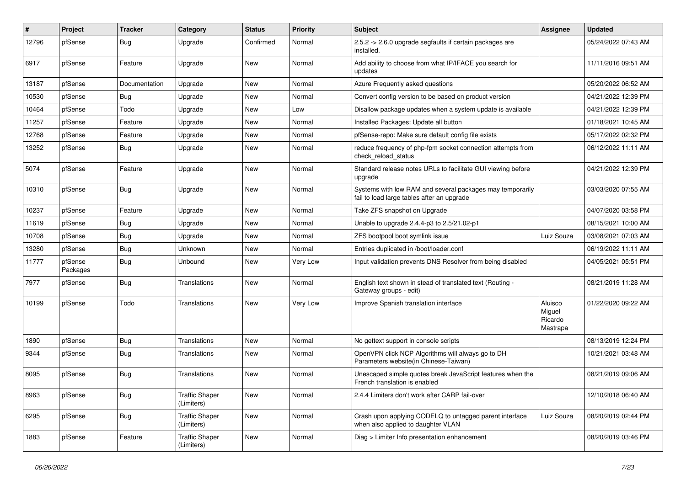| #     | Project             | <b>Tracker</b> | Category                            | <b>Status</b> | <b>Priority</b> | Subject                                                                                                 | Assignee                                 | <b>Updated</b>      |
|-------|---------------------|----------------|-------------------------------------|---------------|-----------------|---------------------------------------------------------------------------------------------------------|------------------------------------------|---------------------|
| 12796 | pfSense             | <b>Bug</b>     | Upgrade                             | Confirmed     | Normal          | 2.5.2 -> 2.6.0 upgrade segfaults if certain packages are<br>installed.                                  |                                          | 05/24/2022 07:43 AM |
| 6917  | pfSense             | Feature        | Upgrade                             | <b>New</b>    | Normal          | Add ability to choose from what IP/IFACE you search for<br>updates                                      |                                          | 11/11/2016 09:51 AM |
| 13187 | pfSense             | Documentation  | Upgrade                             | <b>New</b>    | Normal          | Azure Frequently asked questions                                                                        |                                          | 05/20/2022 06:52 AM |
| 10530 | pfSense             | <b>Bug</b>     | Upgrade                             | New           | Normal          | Convert config version to be based on product version                                                   |                                          | 04/21/2022 12:39 PM |
| 10464 | pfSense             | Todo           | Upgrade                             | <b>New</b>    | Low             | Disallow package updates when a system update is available                                              |                                          | 04/21/2022 12:39 PM |
| 11257 | pfSense             | Feature        | Upgrade                             | New           | Normal          | Installed Packages: Update all button                                                                   |                                          | 01/18/2021 10:45 AM |
| 12768 | pfSense             | Feature        | Upgrade                             | New           | Normal          | pfSense-repo: Make sure default config file exists                                                      |                                          | 05/17/2022 02:32 PM |
| 13252 | pfSense             | Bug            | Upgrade                             | New           | Normal          | reduce frequency of php-fpm socket connection attempts from<br>check reload status                      |                                          | 06/12/2022 11:11 AM |
| 5074  | pfSense             | Feature        | Upgrade                             | <b>New</b>    | Normal          | Standard release notes URLs to facilitate GUI viewing before<br>upgrade                                 |                                          | 04/21/2022 12:39 PM |
| 10310 | pfSense             | <b>Bug</b>     | Upgrade                             | <b>New</b>    | Normal          | Systems with low RAM and several packages may temporarily<br>fail to load large tables after an upgrade |                                          | 03/03/2020 07:55 AM |
| 10237 | pfSense             | Feature        | Upgrade                             | <b>New</b>    | Normal          | Take ZFS snapshot on Upgrade                                                                            |                                          | 04/07/2020 03:58 PM |
| 11619 | pfSense             | <b>Bug</b>     | Upgrade                             | New           | Normal          | Unable to upgrade 2.4.4-p3 to 2.5/21.02-p1                                                              |                                          | 08/15/2021 10:00 AM |
| 10708 | pfSense             | <b>Bug</b>     | Upgrade                             | <b>New</b>    | Normal          | ZFS bootpool boot symlink issue                                                                         | Luiz Souza                               | 03/08/2021 07:03 AM |
| 13280 | pfSense             | <b>Bug</b>     | Unknown                             | New           | Normal          | Entries duplicated in /boot/loader.conf                                                                 |                                          | 06/19/2022 11:11 AM |
| 11777 | pfSense<br>Packages | <b>Bug</b>     | Unbound                             | New           | Very Low        | Input validation prevents DNS Resolver from being disabled                                              |                                          | 04/05/2021 05:51 PM |
| 7977  | pfSense             | Bug            | Translations                        | <b>New</b>    | Normal          | English text shown in stead of translated text (Routing -<br>Gateway groups - edit)                     |                                          | 08/21/2019 11:28 AM |
| 10199 | pfSense             | Todo           | Translations                        | <b>New</b>    | Very Low        | Improve Spanish translation interface                                                                   | Aluisco<br>Miguel<br>Ricardo<br>Mastrapa | 01/22/2020 09:22 AM |
| 1890  | pfSense             | Bug            | Translations                        | <b>New</b>    | Normal          | No gettext support in console scripts                                                                   |                                          | 08/13/2019 12:24 PM |
| 9344  | pfSense             | Bug            | Translations                        | <b>New</b>    | Normal          | OpenVPN click NCP Algorithms will always go to DH<br>Parameters website(in Chinese-Taiwan)              |                                          | 10/21/2021 03:48 AM |
| 8095  | pfSense             | <b>Bug</b>     | Translations                        | <b>New</b>    | Normal          | Unescaped simple quotes break JavaScript features when the<br>French translation is enabled             |                                          | 08/21/2019 09:06 AM |
| 8963  | pfSense             | Bug            | <b>Traffic Shaper</b><br>(Limiters) | New           | Normal          | 2.4.4 Limiters don't work after CARP fail-over                                                          |                                          | 12/10/2018 06:40 AM |
| 6295  | pfSense             | <b>Bug</b>     | <b>Traffic Shaper</b><br>(Limiters) | New           | Normal          | Crash upon applying CODELQ to untagged parent interface<br>when also applied to daughter VLAN           | Luiz Souza                               | 08/20/2019 02:44 PM |
| 1883  | pfSense             | Feature        | <b>Traffic Shaper</b><br>(Limiters) | New           | Normal          | Diag > Limiter Info presentation enhancement                                                            |                                          | 08/20/2019 03:46 PM |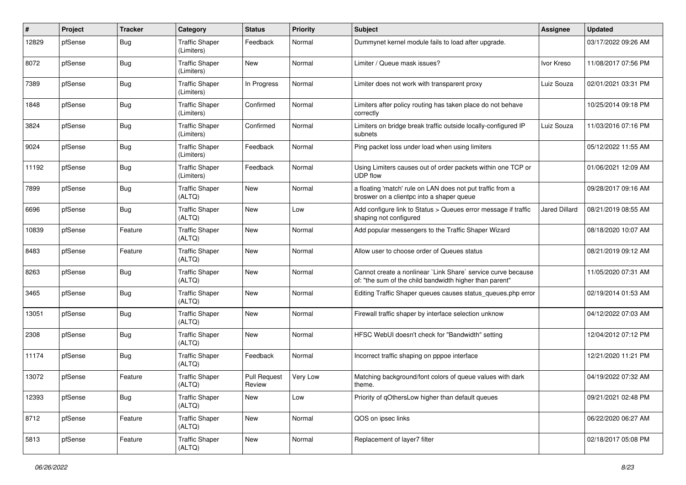| #     | Project | <b>Tracker</b> | Category                            | <b>Status</b>          | <b>Priority</b> | <b>Subject</b>                                                                                                          | Assignee      | <b>Updated</b>      |
|-------|---------|----------------|-------------------------------------|------------------------|-----------------|-------------------------------------------------------------------------------------------------------------------------|---------------|---------------------|
| 12829 | pfSense | Bug            | <b>Traffic Shaper</b><br>(Limiters) | Feedback               | Normal          | Dummynet kernel module fails to load after upgrade.                                                                     |               | 03/17/2022 09:26 AM |
| 8072  | pfSense | Bug            | <b>Traffic Shaper</b><br>(Limiters) | New                    | Normal          | Limiter / Queue mask issues?                                                                                            | Ivor Kreso    | 11/08/2017 07:56 PM |
| 7389  | pfSense | Bug            | <b>Traffic Shaper</b><br>(Limiters) | In Progress            | Normal          | Limiter does not work with transparent proxy                                                                            | Luiz Souza    | 02/01/2021 03:31 PM |
| 1848  | pfSense | Bug            | <b>Traffic Shaper</b><br>(Limiters) | Confirmed              | Normal          | Limiters after policy routing has taken place do not behave<br>correctly                                                |               | 10/25/2014 09:18 PM |
| 3824  | pfSense | <b>Bug</b>     | <b>Traffic Shaper</b><br>(Limiters) | Confirmed              | Normal          | Limiters on bridge break traffic outside locally-configured IP<br>subnets                                               | Luiz Souza    | 11/03/2016 07:16 PM |
| 9024  | pfSense | Bug            | <b>Traffic Shaper</b><br>(Limiters) | Feedback               | Normal          | Ping packet loss under load when using limiters                                                                         |               | 05/12/2022 11:55 AM |
| 11192 | pfSense | Bug            | <b>Traffic Shaper</b><br>(Limiters) | Feedback               | Normal          | Using Limiters causes out of order packets within one TCP or<br><b>UDP flow</b>                                         |               | 01/06/2021 12:09 AM |
| 7899  | pfSense | Bug            | <b>Traffic Shaper</b><br>(ALTQ)     | New                    | Normal          | a floating 'match' rule on LAN does not put traffic from a<br>broswer on a clientpc into a shaper queue                 |               | 09/28/2017 09:16 AM |
| 6696  | pfSense | Bug            | <b>Traffic Shaper</b><br>(ALTQ)     | New                    | Low             | Add configure link to Status > Queues error message if traffic<br>shaping not configured                                | Jared Dillard | 08/21/2019 08:55 AM |
| 10839 | pfSense | Feature        | <b>Traffic Shaper</b><br>(ALTQ)     | New                    | Normal          | Add popular messengers to the Traffic Shaper Wizard                                                                     |               | 08/18/2020 10:07 AM |
| 8483  | pfSense | Feature        | <b>Traffic Shaper</b><br>(ALTQ)     | <b>New</b>             | Normal          | Allow user to choose order of Queues status                                                                             |               | 08/21/2019 09:12 AM |
| 8263  | pfSense | Bug            | <b>Traffic Shaper</b><br>(ALTQ)     | <b>New</b>             | Normal          | Cannot create a nonlinear `Link Share` service curve because<br>of: "the sum of the child bandwidth higher than parent" |               | 11/05/2020 07:31 AM |
| 3465  | pfSense | Bug            | <b>Traffic Shaper</b><br>(ALTQ)     | <b>New</b>             | Normal          | Editing Traffic Shaper queues causes status_queues.php error                                                            |               | 02/19/2014 01:53 AM |
| 13051 | pfSense | Bug            | <b>Traffic Shaper</b><br>(ALTQ)     | <b>New</b>             | Normal          | Firewall traffic shaper by interface selection unknow                                                                   |               | 04/12/2022 07:03 AM |
| 2308  | pfSense | Bug            | <b>Traffic Shaper</b><br>(ALTQ)     | New                    | Normal          | HFSC WebUI doesn't check for "Bandwidth" setting                                                                        |               | 12/04/2012 07:12 PM |
| 11174 | pfSense | <b>Bug</b>     | <b>Traffic Shaper</b><br>(ALTQ)     | Feedback               | Normal          | Incorrect traffic shaping on pppoe interface                                                                            |               | 12/21/2020 11:21 PM |
| 13072 | pfSense | Feature        | <b>Traffic Shaper</b><br>(ALTQ)     | Pull Request<br>Review | Very Low        | Matching background/font colors of queue values with dark<br>theme.                                                     |               | 04/19/2022 07:32 AM |
| 12393 | pfSense | <b>Bug</b>     | <b>Traffic Shaper</b><br>(ALTQ)     | New                    | Low             | Priority of qOthersLow higher than default queues                                                                       |               | 09/21/2021 02:48 PM |
| 8712  | pfSense | Feature        | <b>Traffic Shaper</b><br>(ALTQ)     | New                    | Normal          | QOS on ipsec links                                                                                                      |               | 06/22/2020 06:27 AM |
| 5813  | pfSense | Feature        | <b>Traffic Shaper</b><br>(ALTQ)     | New                    | Normal          | Replacement of layer7 filter                                                                                            |               | 02/18/2017 05:08 PM |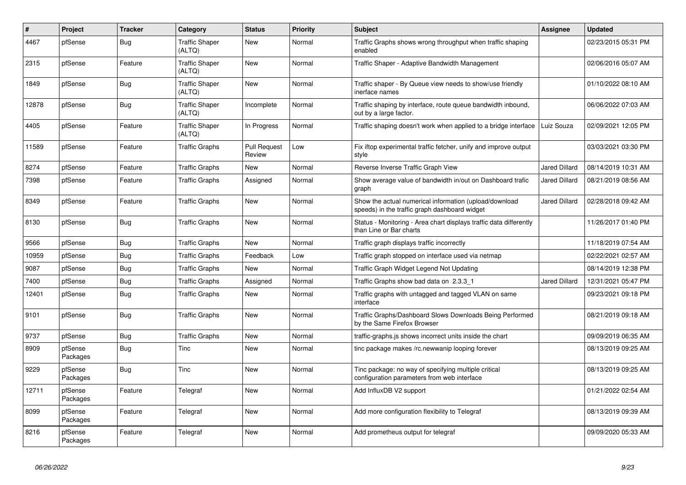| #     | Project             | <b>Tracker</b> | Category                        | <b>Status</b>                 | <b>Priority</b> | <b>Subject</b>                                                                                          | Assignee             | <b>Updated</b>      |
|-------|---------------------|----------------|---------------------------------|-------------------------------|-----------------|---------------------------------------------------------------------------------------------------------|----------------------|---------------------|
| 4467  | pfSense             | Bug            | <b>Traffic Shaper</b><br>(ALTQ) | New                           | Normal          | Traffic Graphs shows wrong throughput when traffic shaping<br>enabled                                   |                      | 02/23/2015 05:31 PM |
| 2315  | pfSense             | Feature        | <b>Traffic Shaper</b><br>(ALTQ) | <b>New</b>                    | Normal          | Traffic Shaper - Adaptive Bandwidth Management                                                          |                      | 02/06/2016 05:07 AM |
| 1849  | pfSense             | <b>Bug</b>     | <b>Traffic Shaper</b><br>(ALTQ) | <b>New</b>                    | Normal          | Traffic shaper - By Queue view needs to show/use friendly<br>inerface names                             |                      | 01/10/2022 08:10 AM |
| 12878 | pfSense             | <b>Bug</b>     | <b>Traffic Shaper</b><br>(ALTQ) | Incomplete                    | Normal          | Traffic shaping by interface, route queue bandwidth inbound,<br>out by a large factor.                  |                      | 06/06/2022 07:03 AM |
| 4405  | pfSense             | Feature        | <b>Traffic Shaper</b><br>(ALTQ) | In Progress                   | Normal          | Traffic shaping doesn't work when applied to a bridge interface                                         | Luiz Souza           | 02/09/2021 12:05 PM |
| 11589 | pfSense             | Feature        | <b>Traffic Graphs</b>           | <b>Pull Request</b><br>Review | Low             | Fix iftop experimental traffic fetcher, unify and improve output<br>style                               |                      | 03/03/2021 03:30 PM |
| 8274  | pfSense             | Feature        | <b>Traffic Graphs</b>           | New                           | Normal          | Reverse Inverse Traffic Graph View                                                                      | Jared Dillard        | 08/14/2019 10:31 AM |
| 7398  | pfSense             | Feature        | <b>Traffic Graphs</b>           | Assigned                      | Normal          | Show average value of bandwidth in/out on Dashboard trafic<br>graph                                     | <b>Jared Dillard</b> | 08/21/2019 08:56 AM |
| 8349  | pfSense             | Feature        | <b>Traffic Graphs</b>           | <b>New</b>                    | Normal          | Show the actual numerical information (upload/download<br>speeds) in the traffic graph dashboard widget | Jared Dillard        | 02/28/2018 09:42 AM |
| 8130  | pfSense             | <b>Bug</b>     | <b>Traffic Graphs</b>           | <b>New</b>                    | Normal          | Status - Monitoring - Area chart displays traffic data differently<br>than Line or Bar charts           |                      | 11/26/2017 01:40 PM |
| 9566  | pfSense             | Bug            | <b>Traffic Graphs</b>           | <b>New</b>                    | Normal          | Traffic graph displays traffic incorrectly                                                              |                      | 11/18/2019 07:54 AM |
| 10959 | pfSense             | <b>Bug</b>     | <b>Traffic Graphs</b>           | Feedback                      | Low             | Traffic graph stopped on interface used via netmap                                                      |                      | 02/22/2021 02:57 AM |
| 9087  | pfSense             | <b>Bug</b>     | <b>Traffic Graphs</b>           | <b>New</b>                    | Normal          | Traffic Graph Widget Legend Not Updating                                                                |                      | 08/14/2019 12:38 PM |
| 7400  | pfSense             | <b>Bug</b>     | <b>Traffic Graphs</b>           | Assigned                      | Normal          | Traffic Graphs show bad data on 2.3.3_1                                                                 | <b>Jared Dillard</b> | 12/31/2021 05:47 PM |
| 12401 | pfSense             | <b>Bug</b>     | <b>Traffic Graphs</b>           | <b>New</b>                    | Normal          | Traffic graphs with untagged and tagged VLAN on same<br>interface                                       |                      | 09/23/2021 09:18 PM |
| 9101  | pfSense             | Bug            | <b>Traffic Graphs</b>           | New                           | Normal          | Traffic Graphs/Dashboard Slows Downloads Being Performed<br>by the Same Firefox Browser                 |                      | 08/21/2019 09:18 AM |
| 9737  | pfSense             | <b>Bug</b>     | <b>Traffic Graphs</b>           | <b>New</b>                    | Normal          | traffic-graphs.js shows incorrect units inside the chart                                                |                      | 09/09/2019 06:35 AM |
| 8909  | pfSense<br>Packages | Bug            | Tinc                            | New                           | Normal          | tinc package makes /rc.newwanip looping forever                                                         |                      | 08/13/2019 09:25 AM |
| 9229  | pfSense<br>Packages | <b>Bug</b>     | Tinc                            | <b>New</b>                    | Normal          | Tinc package: no way of specifying multiple critical<br>configuration parameters from web interface     |                      | 08/13/2019 09:25 AM |
| 12711 | pfSense<br>Packages | Feature        | Telegraf                        | <b>New</b>                    | Normal          | Add InfluxDB V2 support                                                                                 |                      | 01/21/2022 02:54 AM |
| 8099  | pfSense<br>Packages | Feature        | Telegraf                        | <b>New</b>                    | Normal          | Add more configuration flexibility to Telegraf                                                          |                      | 08/13/2019 09:39 AM |
| 8216  | pfSense<br>Packages | Feature        | Telegraf                        | <b>New</b>                    | Normal          | Add prometheus output for telegraf                                                                      |                      | 09/09/2020 05:33 AM |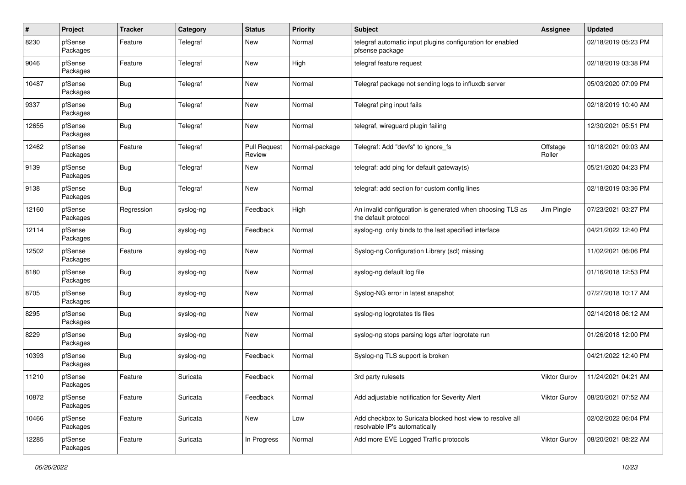| $\pmb{\#}$ | Project             | <b>Tracker</b> | Category  | <b>Status</b>                 | <b>Priority</b> | <b>Subject</b>                                                                             | Assignee            | <b>Updated</b>      |
|------------|---------------------|----------------|-----------|-------------------------------|-----------------|--------------------------------------------------------------------------------------------|---------------------|---------------------|
| 8230       | pfSense<br>Packages | Feature        | Telegraf  | New                           | Normal          | telegraf automatic input plugins configuration for enabled<br>pfsense package              |                     | 02/18/2019 05:23 PM |
| 9046       | pfSense<br>Packages | Feature        | Telegraf  | New                           | High            | telegraf feature request                                                                   |                     | 02/18/2019 03:38 PM |
| 10487      | pfSense<br>Packages | <b>Bug</b>     | Telegraf  | New                           | Normal          | Telegraf package not sending logs to influxdb server                                       |                     | 05/03/2020 07:09 PM |
| 9337       | pfSense<br>Packages | <b>Bug</b>     | Telegraf  | New                           | Normal          | Telegraf ping input fails                                                                  |                     | 02/18/2019 10:40 AM |
| 12655      | pfSense<br>Packages | <b>Bug</b>     | Telegraf  | New                           | Normal          | telegraf, wireguard plugin failing                                                         |                     | 12/30/2021 05:51 PM |
| 12462      | pfSense<br>Packages | Feature        | Telegraf  | <b>Pull Request</b><br>Review | Normal-package  | Telegraf: Add "devfs" to ignore fs                                                         | Offstage<br>Roller  | 10/18/2021 09:03 AM |
| 9139       | pfSense<br>Packages | <b>Bug</b>     | Telegraf  | New                           | Normal          | telegraf: add ping for default gateway(s)                                                  |                     | 05/21/2020 04:23 PM |
| 9138       | pfSense<br>Packages | <b>Bug</b>     | Telegraf  | New                           | Normal          | telegraf: add section for custom config lines                                              |                     | 02/18/2019 03:36 PM |
| 12160      | pfSense<br>Packages | Regression     | syslog-ng | Feedback                      | High            | An invalid configuration is generated when choosing TLS as<br>the default protocol         | Jim Pingle          | 07/23/2021 03:27 PM |
| 12114      | pfSense<br>Packages | <b>Bug</b>     | syslog-ng | Feedback                      | Normal          | syslog-ng only binds to the last specified interface                                       |                     | 04/21/2022 12:40 PM |
| 12502      | pfSense<br>Packages | Feature        | syslog-ng | New                           | Normal          | Syslog-ng Configuration Library (scl) missing                                              |                     | 11/02/2021 06:06 PM |
| 8180       | pfSense<br>Packages | <b>Bug</b>     | syslog-ng | New                           | Normal          | syslog-ng default log file                                                                 |                     | 01/16/2018 12:53 PM |
| 8705       | pfSense<br>Packages | <b>Bug</b>     | syslog-ng | New                           | Normal          | Syslog-NG error in latest snapshot                                                         |                     | 07/27/2018 10:17 AM |
| 8295       | pfSense<br>Packages | <b>Bug</b>     | syslog-ng | New                           | Normal          | syslog-ng logrotates tls files                                                             |                     | 02/14/2018 06:12 AM |
| 8229       | pfSense<br>Packages | <b>Bug</b>     | syslog-ng | New                           | Normal          | syslog-ng stops parsing logs after logrotate run                                           |                     | 01/26/2018 12:00 PM |
| 10393      | pfSense<br>Packages | <b>Bug</b>     | syslog-ng | Feedback                      | Normal          | Syslog-ng TLS support is broken                                                            |                     | 04/21/2022 12:40 PM |
| 11210      | pfSense<br>Packages | Feature        | Suricata  | Feedback                      | Normal          | 3rd party rulesets                                                                         | Viktor Gurov        | 11/24/2021 04:21 AM |
| 10872      | pfSense<br>Packages | Feature        | Suricata  | Feedback                      | Normal          | Add adjustable notification for Severity Alert                                             | Viktor Gurov        | 08/20/2021 07:52 AM |
| 10466      | pfSense<br>Packages | Feature        | Suricata  | New                           | Low             | Add checkbox to Suricata blocked host view to resolve all<br>resolvable IP's automatically |                     | 02/02/2022 06:04 PM |
| 12285      | pfSense<br>Packages | Feature        | Suricata  | In Progress                   | Normal          | Add more EVE Logged Traffic protocols                                                      | <b>Viktor Gurov</b> | 08/20/2021 08:22 AM |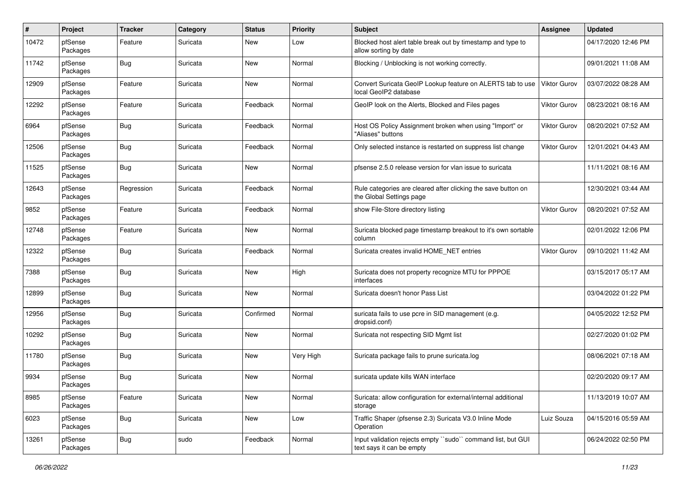| $\#$  | Project             | <b>Tracker</b> | Category | <b>Status</b> | <b>Priority</b> | Subject                                                                                   | <b>Assignee</b>     | <b>Updated</b>      |
|-------|---------------------|----------------|----------|---------------|-----------------|-------------------------------------------------------------------------------------------|---------------------|---------------------|
| 10472 | pfSense<br>Packages | Feature        | Suricata | New           | Low             | Blocked host alert table break out by timestamp and type to<br>allow sorting by date      |                     | 04/17/2020 12:46 PM |
| 11742 | pfSense<br>Packages | Bug            | Suricata | <b>New</b>    | Normal          | Blocking / Unblocking is not working correctly.                                           |                     | 09/01/2021 11:08 AM |
| 12909 | pfSense<br>Packages | Feature        | Suricata | New           | Normal          | Convert Suricata GeoIP Lookup feature on ALERTS tab to use<br>local GeoIP2 database       | Viktor Gurov        | 03/07/2022 08:28 AM |
| 12292 | pfSense<br>Packages | Feature        | Suricata | Feedback      | Normal          | GeoIP look on the Alerts, Blocked and Files pages                                         | <b>Viktor Gurov</b> | 08/23/2021 08:16 AM |
| 6964  | pfSense<br>Packages | Bug            | Suricata | Feedback      | Normal          | Host OS Policy Assignment broken when using "Import" or<br>"Aliases" buttons              | Viktor Gurov        | 08/20/2021 07:52 AM |
| 12506 | pfSense<br>Packages | Bug            | Suricata | Feedback      | Normal          | Only selected instance is restarted on suppress list change                               | <b>Viktor Gurov</b> | 12/01/2021 04:43 AM |
| 11525 | pfSense<br>Packages | Bug            | Suricata | New           | Normal          | pfsense 2.5.0 release version for vlan issue to suricata                                  |                     | 11/11/2021 08:16 AM |
| 12643 | pfSense<br>Packages | Regression     | Suricata | Feedback      | Normal          | Rule categories are cleared after clicking the save button on<br>the Global Settings page |                     | 12/30/2021 03:44 AM |
| 9852  | pfSense<br>Packages | Feature        | Suricata | Feedback      | Normal          | show File-Store directory listing                                                         | Viktor Gurov        | 08/20/2021 07:52 AM |
| 12748 | pfSense<br>Packages | Feature        | Suricata | <b>New</b>    | Normal          | Suricata blocked page timestamp breakout to it's own sortable<br>column                   |                     | 02/01/2022 12:06 PM |
| 12322 | pfSense<br>Packages | Bug            | Suricata | Feedback      | Normal          | Suricata creates invalid HOME_NET entries                                                 | <b>Viktor Gurov</b> | 09/10/2021 11:42 AM |
| 7388  | pfSense<br>Packages | Bug            | Suricata | New           | High            | Suricata does not property recognize MTU for PPPOE<br>interfaces                          |                     | 03/15/2017 05:17 AM |
| 12899 | pfSense<br>Packages | Bug            | Suricata | New           | Normal          | Suricata doesn't honor Pass List                                                          |                     | 03/04/2022 01:22 PM |
| 12956 | pfSense<br>Packages | Bug            | Suricata | Confirmed     | Normal          | suricata fails to use pcre in SID management (e.g.<br>dropsid.conf)                       |                     | 04/05/2022 12:52 PM |
| 10292 | pfSense<br>Packages | Bug            | Suricata | New           | Normal          | Suricata not respecting SID Mgmt list                                                     |                     | 02/27/2020 01:02 PM |
| 11780 | pfSense<br>Packages | <b>Bug</b>     | Suricata | New           | Very High       | Suricata package fails to prune suricata.log                                              |                     | 08/06/2021 07:18 AM |
| 9934  | pfSense<br>Packages | Bug            | Suricata | <b>New</b>    | Normal          | suricata update kills WAN interface                                                       |                     | 02/20/2020 09:17 AM |
| 8985  | pfSense<br>Packages | Feature        | Suricata | New           | Normal          | Suricata: allow configuration for external/internal additional<br>storage                 |                     | 11/13/2019 10:07 AM |
| 6023  | pfSense<br>Packages | Bug            | Suricata | <b>New</b>    | Low             | Traffic Shaper (pfsense 2.3) Suricata V3.0 Inline Mode<br>Operation                       | Luiz Souza          | 04/15/2016 05:59 AM |
| 13261 | pfSense<br>Packages | <b>Bug</b>     | sudo     | Feedback      | Normal          | Input validation rejects empty "sudo" command list, but GUI<br>text says it can be empty  |                     | 06/24/2022 02:50 PM |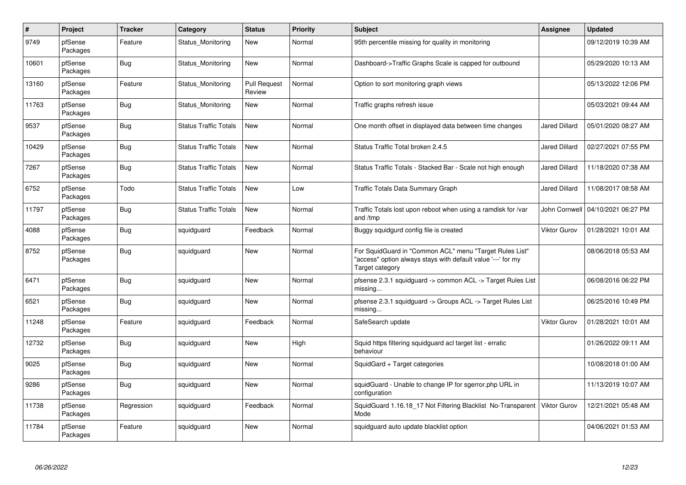| $\pmb{\#}$ | Project             | <b>Tracker</b> | Category                     | <b>Status</b>                 | <b>Priority</b> | <b>Subject</b>                                                                                                                             | <b>Assignee</b>      | Updated             |
|------------|---------------------|----------------|------------------------------|-------------------------------|-----------------|--------------------------------------------------------------------------------------------------------------------------------------------|----------------------|---------------------|
| 9749       | pfSense<br>Packages | Feature        | Status Monitoring            | New                           | Normal          | 95th percentile missing for quality in monitoring                                                                                          |                      | 09/12/2019 10:39 AM |
| 10601      | pfSense<br>Packages | <b>Bug</b>     | Status_Monitoring            | <b>New</b>                    | Normal          | Dashboard->Traffic Graphs Scale is capped for outbound                                                                                     |                      | 05/29/2020 10:13 AM |
| 13160      | pfSense<br>Packages | Feature        | Status Monitoring            | <b>Pull Request</b><br>Review | Normal          | Option to sort monitoring graph views                                                                                                      |                      | 05/13/2022 12:06 PM |
| 11763      | pfSense<br>Packages | <b>Bug</b>     | Status Monitoring            | <b>New</b>                    | Normal          | Traffic graphs refresh issue                                                                                                               |                      | 05/03/2021 09:44 AM |
| 9537       | pfSense<br>Packages | Bug            | <b>Status Traffic Totals</b> | <b>New</b>                    | Normal          | One month offset in displayed data between time changes                                                                                    | <b>Jared Dillard</b> | 05/01/2020 08:27 AM |
| 10429      | pfSense<br>Packages | <b>Bug</b>     | <b>Status Traffic Totals</b> | New                           | Normal          | Status Traffic Total broken 2.4.5                                                                                                          | Jared Dillard        | 02/27/2021 07:55 PM |
| 7267       | pfSense<br>Packages | <b>Bug</b>     | <b>Status Traffic Totals</b> | <b>New</b>                    | Normal          | Status Traffic Totals - Stacked Bar - Scale not high enough                                                                                | <b>Jared Dillard</b> | 11/18/2020 07:38 AM |
| 6752       | pfSense<br>Packages | Todo           | <b>Status Traffic Totals</b> | <b>New</b>                    | Low             | Traffic Totals Data Summary Graph                                                                                                          | <b>Jared Dillard</b> | 11/08/2017 08:58 AM |
| 11797      | pfSense<br>Packages | <b>Bug</b>     | <b>Status Traffic Totals</b> | New                           | Normal          | Traffic Totals lost upon reboot when using a ramdisk for /var<br>and /tmp                                                                  | John Cornwell        | 04/10/2021 06:27 PM |
| 4088       | pfSense<br>Packages | Bug            | squidguard                   | Feedback                      | Normal          | Buggy squidgurd config file is created                                                                                                     | Viktor Gurov         | 01/28/2021 10:01 AM |
| 8752       | pfSense<br>Packages | <b>Bug</b>     | squidguard                   | New                           | Normal          | For SquidGuard in "Common ACL" menu "Target Rules List"<br>"access" option always stays with default value '---' for my<br>Target category |                      | 08/06/2018 05:53 AM |
| 6471       | pfSense<br>Packages | <b>Bug</b>     | squidguard                   | <b>New</b>                    | Normal          | pfsense 2.3.1 squidguard -> common ACL -> Target Rules List<br>missing                                                                     |                      | 06/08/2016 06:22 PM |
| 6521       | pfSense<br>Packages | Bug            | squidguard                   | <b>New</b>                    | Normal          | pfsense 2.3.1 squidquard -> Groups ACL -> Target Rules List<br>missing                                                                     |                      | 06/25/2016 10:49 PM |
| 11248      | pfSense<br>Packages | Feature        | squidguard                   | Feedback                      | Normal          | SafeSearch update                                                                                                                          | Viktor Gurov         | 01/28/2021 10:01 AM |
| 12732      | pfSense<br>Packages | <b>Bug</b>     | squidguard                   | <b>New</b>                    | High            | Squid https filtering squidguard acl target list - erratic<br>behaviour                                                                    |                      | 01/26/2022 09:11 AM |
| 9025       | pfSense<br>Packages | Bug            | squidguard                   | <b>New</b>                    | Normal          | SquidGard + Target categories                                                                                                              |                      | 10/08/2018 01:00 AM |
| 9286       | pfSense<br>Packages | Bug            | squidguard                   | <b>New</b>                    | Normal          | squidGuard - Unable to change IP for sgerror.php URL in<br>configuration                                                                   |                      | 11/13/2019 10:07 AM |
| 11738      | pfSense<br>Packages | Regression     | squidguard                   | Feedback                      | Normal          | SquidGuard 1.16.18 17 Not Filtering Blacklist No-Transparent<br>Mode                                                                       | Viktor Gurov         | 12/21/2021 05:48 AM |
| 11784      | pfSense<br>Packages | Feature        | squidguard                   | <b>New</b>                    | Normal          | squidguard auto update blacklist option                                                                                                    |                      | 04/06/2021 01:53 AM |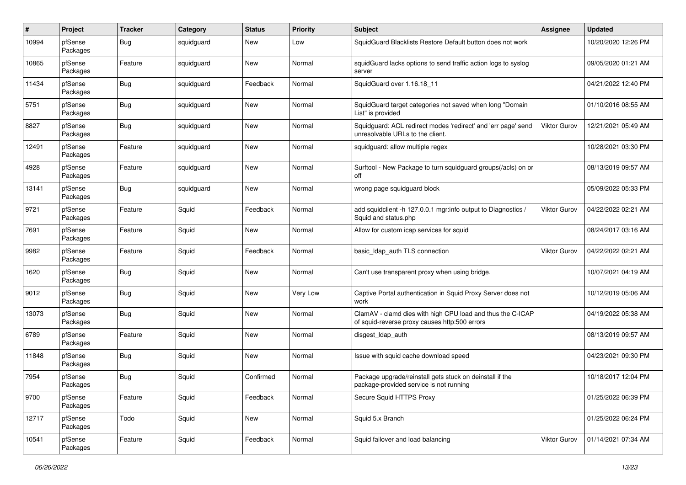| $\pmb{\#}$ | Project             | <b>Tracker</b> | Category   | <b>Status</b> | <b>Priority</b> | <b>Subject</b>                                                                                              | <b>Assignee</b>     | <b>Updated</b>      |
|------------|---------------------|----------------|------------|---------------|-----------------|-------------------------------------------------------------------------------------------------------------|---------------------|---------------------|
| 10994      | pfSense<br>Packages | <b>Bug</b>     | squidguard | New           | Low             | SquidGuard Blacklists Restore Default button does not work                                                  |                     | 10/20/2020 12:26 PM |
| 10865      | pfSense<br>Packages | Feature        | squidguard | New           | Normal          | squidGuard lacks options to send traffic action logs to syslog<br>server                                    |                     | 09/05/2020 01:21 AM |
| 11434      | pfSense<br>Packages | <b>Bug</b>     | squidguard | Feedback      | Normal          | SquidGuard over 1.16.18_11                                                                                  |                     | 04/21/2022 12:40 PM |
| 5751       | pfSense<br>Packages | <b>Bug</b>     | squidguard | New           | Normal          | SquidGuard target categories not saved when long "Domain<br>List" is provided                               |                     | 01/10/2016 08:55 AM |
| 8827       | pfSense<br>Packages | <b>Bug</b>     | squidguard | <b>New</b>    | Normal          | Squidguard: ACL redirect modes 'redirect' and 'err page' send<br>unresolvable URLs to the client.           | <b>Viktor Gurov</b> | 12/21/2021 05:49 AM |
| 12491      | pfSense<br>Packages | Feature        | squidguard | New           | Normal          | squidguard: allow multiple regex                                                                            |                     | 10/28/2021 03:30 PM |
| 4928       | pfSense<br>Packages | Feature        | squidguard | <b>New</b>    | Normal          | Surftool - New Package to turn squidguard groups(/acls) on or<br>off                                        |                     | 08/13/2019 09:57 AM |
| 13141      | pfSense<br>Packages | <b>Bug</b>     | squidguard | <b>New</b>    | Normal          | wrong page squidguard block                                                                                 |                     | 05/09/2022 05:33 PM |
| 9721       | pfSense<br>Packages | Feature        | Squid      | Feedback      | Normal          | add squidclient -h 127.0.0.1 mgr:info output to Diagnostics /<br>Squid and status.php                       | <b>Viktor Gurov</b> | 04/22/2022 02:21 AM |
| 7691       | pfSense<br>Packages | Feature        | Squid      | New           | Normal          | Allow for custom icap services for squid                                                                    |                     | 08/24/2017 03:16 AM |
| 9982       | pfSense<br>Packages | Feature        | Squid      | Feedback      | Normal          | basic_Idap_auth TLS connection                                                                              | Viktor Gurov        | 04/22/2022 02:21 AM |
| 1620       | pfSense<br>Packages | <b>Bug</b>     | Squid      | New           | Normal          | Can't use transparent proxy when using bridge.                                                              |                     | 10/07/2021 04:19 AM |
| 9012       | pfSense<br>Packages | <b>Bug</b>     | Squid      | New           | Very Low        | Captive Portal authentication in Squid Proxy Server does not<br>work                                        |                     | 10/12/2019 05:06 AM |
| 13073      | pfSense<br>Packages | <b>Bug</b>     | Squid      | <b>New</b>    | Normal          | ClamAV - clamd dies with high CPU load and thus the C-ICAP<br>of squid-reverse proxy causes http:500 errors |                     | 04/19/2022 05:38 AM |
| 6789       | pfSense<br>Packages | Feature        | Squid      | New           | Normal          | disgest_ldap_auth                                                                                           |                     | 08/13/2019 09:57 AM |
| 11848      | pfSense<br>Packages | <b>Bug</b>     | Squid      | New           | Normal          | Issue with squid cache download speed                                                                       |                     | 04/23/2021 09:30 PM |
| 7954       | pfSense<br>Packages | <b>Bug</b>     | Squid      | Confirmed     | Normal          | Package upgrade/reinstall gets stuck on deinstall if the<br>package-provided service is not running         |                     | 10/18/2017 12:04 PM |
| 9700       | pfSense<br>Packages | Feature        | Squid      | Feedback      | Normal          | Secure Squid HTTPS Proxy                                                                                    |                     | 01/25/2022 06:39 PM |
| 12717      | pfSense<br>Packages | Todo           | Squid      | New           | Normal          | Squid 5.x Branch                                                                                            |                     | 01/25/2022 06:24 PM |
| 10541      | pfSense<br>Packages | Feature        | Squid      | Feedback      | Normal          | Squid failover and load balancing                                                                           | <b>Viktor Gurov</b> | 01/14/2021 07:34 AM |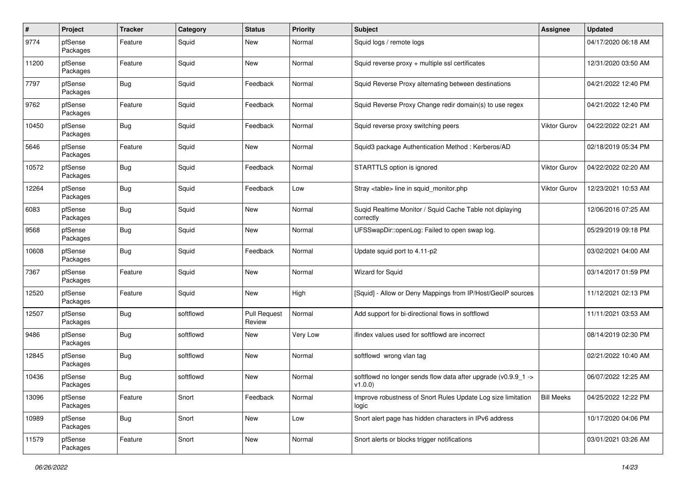| $\#$  | Project             | <b>Tracker</b> | Category  | <b>Status</b>                 | <b>Priority</b> | <b>Subject</b>                                                                        | Assignee            | <b>Updated</b>      |
|-------|---------------------|----------------|-----------|-------------------------------|-----------------|---------------------------------------------------------------------------------------|---------------------|---------------------|
| 9774  | pfSense<br>Packages | Feature        | Squid     | New                           | Normal          | Squid logs / remote logs                                                              |                     | 04/17/2020 06:18 AM |
| 11200 | pfSense<br>Packages | Feature        | Squid     | <b>New</b>                    | Normal          | Squid reverse proxy + multiple ssl certificates                                       |                     | 12/31/2020 03:50 AM |
| 7797  | pfSense<br>Packages | Bug            | Squid     | Feedback                      | Normal          | Squid Reverse Proxy alternating between destinations                                  |                     | 04/21/2022 12:40 PM |
| 9762  | pfSense<br>Packages | Feature        | Squid     | Feedback                      | Normal          | Squid Reverse Proxy Change redir domain(s) to use regex                               |                     | 04/21/2022 12:40 PM |
| 10450 | pfSense<br>Packages | Bug            | Squid     | Feedback                      | Normal          | Squid reverse proxy switching peers                                                   | Viktor Gurov        | 04/22/2022 02:21 AM |
| 5646  | pfSense<br>Packages | Feature        | Squid     | New                           | Normal          | Squid3 package Authentication Method: Kerberos/AD                                     |                     | 02/18/2019 05:34 PM |
| 10572 | pfSense<br>Packages | Bug            | Squid     | Feedback                      | Normal          | STARTTLS option is ignored                                                            | Viktor Gurov        | 04/22/2022 02:20 AM |
| 12264 | pfSense<br>Packages | Bug            | Squid     | Feedback                      | Low             | Stray <table> line in squid monitor.php</table>                                       | <b>Viktor Gurov</b> | 12/23/2021 10:53 AM |
| 6083  | pfSense<br>Packages | Bug            | Squid     | New                           | Normal          | Suqid Realtime Monitor / Squid Cache Table not diplaying<br>correctly                 |                     | 12/06/2016 07:25 AM |
| 9568  | pfSense<br>Packages | Bug            | Squid     | <b>New</b>                    | Normal          | UFSSwapDir::openLog: Failed to open swap log.                                         |                     | 05/29/2019 09:18 PM |
| 10608 | pfSense<br>Packages | Bug            | Squid     | Feedback                      | Normal          | Update squid port to 4.11-p2                                                          |                     | 03/02/2021 04:00 AM |
| 7367  | pfSense<br>Packages | Feature        | Squid     | New                           | Normal          | Wizard for Squid                                                                      |                     | 03/14/2017 01:59 PM |
| 12520 | pfSense<br>Packages | Feature        | Squid     | New                           | High            | [Squid] - Allow or Deny Mappings from IP/Host/GeoIP sources                           |                     | 11/12/2021 02:13 PM |
| 12507 | pfSense<br>Packages | Bug            | softflowd | <b>Pull Request</b><br>Review | Normal          | Add support for bi-directional flows in softflowd                                     |                     | 11/11/2021 03:53 AM |
| 9486  | pfSense<br>Packages | Bug            | softflowd | New                           | Very Low        | ifindex values used for softflowd are incorrect                                       |                     | 08/14/2019 02:30 PM |
| 12845 | pfSense<br>Packages | <b>Bug</b>     | softflowd | New                           | Normal          | softflowd wrong vlan tag                                                              |                     | 02/21/2022 10:40 AM |
| 10436 | pfSense<br>Packages | Bug            | softflowd | <b>New</b>                    | Normal          | softflowd no longer sends flow data after upgrade ( $v0.9.9$ 1 -><br>$ v1.0.0\rangle$ |                     | 06/07/2022 12:25 AM |
| 13096 | pfSense<br>Packages | Feature        | Snort     | Feedback                      | Normal          | Improve robustness of Snort Rules Update Log size limitation<br>logic                 | <b>Bill Meeks</b>   | 04/25/2022 12:22 PM |
| 10989 | pfSense<br>Packages | <b>Bug</b>     | Snort     | New                           | Low             | Snort alert page has hidden characters in IPv6 address                                |                     | 10/17/2020 04:06 PM |
| 11579 | pfSense<br>Packages | Feature        | Snort     | New                           | Normal          | Snort alerts or blocks trigger notifications                                          |                     | 03/01/2021 03:26 AM |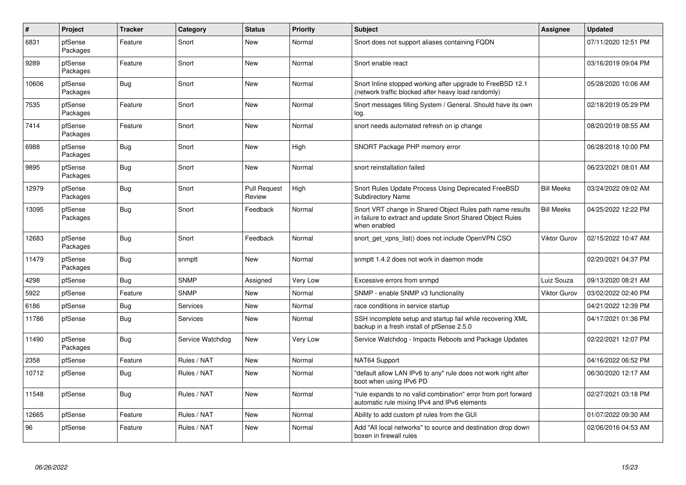| $\pmb{\#}$ | Project             | <b>Tracker</b> | Category         | <b>Status</b>                 | <b>Priority</b> | <b>Subject</b>                                                                                                                          | Assignee            | <b>Updated</b>      |
|------------|---------------------|----------------|------------------|-------------------------------|-----------------|-----------------------------------------------------------------------------------------------------------------------------------------|---------------------|---------------------|
| 6831       | pfSense<br>Packages | Feature        | Snort            | <b>New</b>                    | Normal          | Snort does not support aliases containing FQDN                                                                                          |                     | 07/11/2020 12:51 PM |
| 9289       | pfSense<br>Packages | Feature        | Snort            | New                           | Normal          | Snort enable react                                                                                                                      |                     | 03/16/2019 09:04 PM |
| 10606      | pfSense<br>Packages | Bug            | Snort            | <b>New</b>                    | Normal          | Snort Inline stopped working after upgrade to FreeBSD 12.1<br>(network traffic blocked after heavy load randomly)                       |                     | 05/28/2020 10:06 AM |
| 7535       | pfSense<br>Packages | Feature        | Snort            | <b>New</b>                    | Normal          | Snort messages filling System / General. Should have its own<br>log.                                                                    |                     | 02/18/2019 05:29 PM |
| 7414       | pfSense<br>Packages | Feature        | Snort            | <b>New</b>                    | Normal          | snort needs automated refresh on ip change                                                                                              |                     | 08/20/2019 08:55 AM |
| 6988       | pfSense<br>Packages | <b>Bug</b>     | Snort            | <b>New</b>                    | High            | SNORT Package PHP memory error                                                                                                          |                     | 06/28/2018 10:00 PM |
| 9895       | pfSense<br>Packages | <b>Bug</b>     | Snort            | <b>New</b>                    | Normal          | snort reinstallation failed                                                                                                             |                     | 06/23/2021 08:01 AM |
| 12979      | pfSense<br>Packages | <b>Bug</b>     | Snort            | <b>Pull Request</b><br>Review | High            | Snort Rules Update Process Using Deprecated FreeBSD<br><b>Subdirectory Name</b>                                                         | <b>Bill Meeks</b>   | 03/24/2022 09:02 AM |
| 13095      | pfSense<br>Packages | <b>Bug</b>     | Snort            | Feedback                      | Normal          | Snort VRT change in Shared Object Rules path name results<br>in failure to extract and update Snort Shared Object Rules<br>when enabled | <b>Bill Meeks</b>   | 04/25/2022 12:22 PM |
| 12683      | pfSense<br>Packages | <b>Bug</b>     | Snort            | Feedback                      | Normal          | snort_get_vpns_list() does not include OpenVPN CSO                                                                                      | Viktor Gurov        | 02/15/2022 10:47 AM |
| 11479      | pfSense<br>Packages | Bug            | snmptt           | New                           | Normal          | snmptt 1.4.2 does not work in daemon mode                                                                                               |                     | 02/20/2021 04:37 PM |
| 4298       | pfSense             | Bug            | <b>SNMP</b>      | Assigned                      | Very Low        | Excessive errors from snmpd                                                                                                             | Luiz Souza          | 09/13/2020 08:21 AM |
| 5922       | pfSense             | Feature        | <b>SNMP</b>      | <b>New</b>                    | Normal          | SNMP - enable SNMP v3 functionality                                                                                                     | <b>Viktor Gurov</b> | 03/02/2022 02:40 PM |
| 6186       | pfSense             | Bug            | Services         | <b>New</b>                    | Normal          | race conditions in service startup                                                                                                      |                     | 04/21/2022 12:39 PM |
| 11786      | pfSense             | Bug            | Services         | <b>New</b>                    | Normal          | SSH incomplete setup and startup fail while recovering XML<br>backup in a fresh install of pfSense 2.5.0                                |                     | 04/17/2021 01:36 PM |
| 11490      | pfSense<br>Packages | <b>Bug</b>     | Service Watchdog | <b>New</b>                    | Very Low        | Service Watchdog - Impacts Reboots and Package Updates                                                                                  |                     | 02/22/2021 12:07 PM |
| 2358       | pfSense             | Feature        | Rules / NAT      | New                           | Normal          | NAT64 Support                                                                                                                           |                     | 04/16/2022 06:52 PM |
| 10712      | pfSense             | Bug            | Rules / NAT      | <b>New</b>                    | Normal          | "default allow LAN IPv6 to any" rule does not work right after<br>boot when using IPv6 PD                                               |                     | 06/30/2020 12:17 AM |
| 11548      | pfSense             | Bug            | Rules / NAT      | New                           | Normal          | "rule expands to no valid combination" error from port forward<br>automatic rule mixing IPv4 and IPv6 elements                          |                     | 02/27/2021 03:18 PM |
| 12665      | pfSense             | Feature        | Rules / NAT      | New                           | Normal          | Ability to add custom pf rules from the GUI                                                                                             |                     | 01/07/2022 09:30 AM |
| 96         | pfSense             | Feature        | Rules / NAT      | <b>New</b>                    | Normal          | Add "All local networks" to source and destination drop down<br>boxen in firewall rules                                                 |                     | 02/06/2016 04:53 AM |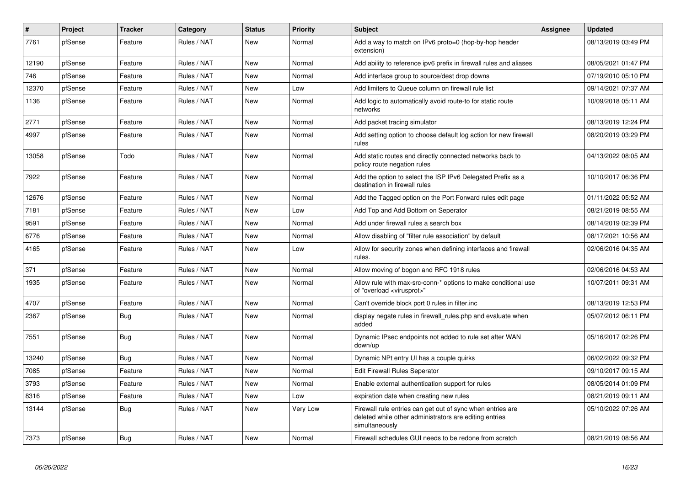| $\vert$ # | Project | <b>Tracker</b> | Category    | <b>Status</b> | <b>Priority</b> | <b>Subject</b>                                                                                                                         | Assignee | <b>Updated</b>      |
|-----------|---------|----------------|-------------|---------------|-----------------|----------------------------------------------------------------------------------------------------------------------------------------|----------|---------------------|
| 7761      | pfSense | Feature        | Rules / NAT | <b>New</b>    | Normal          | Add a way to match on IPv6 proto=0 (hop-by-hop header<br>extension)                                                                    |          | 08/13/2019 03:49 PM |
| 12190     | pfSense | Feature        | Rules / NAT | New           | Normal          | Add ability to reference ipv6 prefix in firewall rules and aliases                                                                     |          | 08/05/2021 01:47 PM |
| 746       | pfSense | Feature        | Rules / NAT | <b>New</b>    | Normal          | Add interface group to source/dest drop downs                                                                                          |          | 07/19/2010 05:10 PM |
| 12370     | pfSense | Feature        | Rules / NAT | New           | Low             | Add limiters to Queue column on firewall rule list                                                                                     |          | 09/14/2021 07:37 AM |
| 1136      | pfSense | Feature        | Rules / NAT | <b>New</b>    | Normal          | Add logic to automatically avoid route-to for static route<br>networks                                                                 |          | 10/09/2018 05:11 AM |
| 2771      | pfSense | Feature        | Rules / NAT | <b>New</b>    | Normal          | Add packet tracing simulator                                                                                                           |          | 08/13/2019 12:24 PM |
| 4997      | pfSense | Feature        | Rules / NAT | New           | Normal          | Add setting option to choose default log action for new firewall<br>rules                                                              |          | 08/20/2019 03:29 PM |
| 13058     | pfSense | Todo           | Rules / NAT | New           | Normal          | Add static routes and directly connected networks back to<br>policy route negation rules                                               |          | 04/13/2022 08:05 AM |
| 7922      | pfSense | Feature        | Rules / NAT | <b>New</b>    | Normal          | Add the option to select the ISP IPv6 Delegated Prefix as a<br>destination in firewall rules                                           |          | 10/10/2017 06:36 PM |
| 12676     | pfSense | Feature        | Rules / NAT | <b>New</b>    | Normal          | Add the Tagged option on the Port Forward rules edit page                                                                              |          | 01/11/2022 05:52 AM |
| 7181      | pfSense | Feature        | Rules / NAT | New           | Low             | Add Top and Add Bottom on Seperator                                                                                                    |          | 08/21/2019 08:55 AM |
| 9591      | pfSense | Feature        | Rules / NAT | <b>New</b>    | Normal          | Add under firewall rules a search box                                                                                                  |          | 08/14/2019 02:39 PM |
| 6776      | pfSense | Feature        | Rules / NAT | New           | Normal          | Allow disabling of "filter rule association" by default                                                                                |          | 08/17/2021 10:56 AM |
| 4165      | pfSense | Feature        | Rules / NAT | New           | Low             | Allow for security zones when defining interfaces and firewall<br>rules.                                                               |          | 02/06/2016 04:35 AM |
| 371       | pfSense | Feature        | Rules / NAT | <b>New</b>    | Normal          | Allow moving of bogon and RFC 1918 rules                                                                                               |          | 02/06/2016 04:53 AM |
| 1935      | pfSense | Feature        | Rules / NAT | <b>New</b>    | Normal          | Allow rule with max-src-conn-* options to make conditional use<br>of "overload <virusprot>"</virusprot>                                |          | 10/07/2011 09:31 AM |
| 4707      | pfSense | Feature        | Rules / NAT | <b>New</b>    | Normal          | Can't override block port 0 rules in filter.inc                                                                                        |          | 08/13/2019 12:53 PM |
| 2367      | pfSense | Bug            | Rules / NAT | <b>New</b>    | Normal          | display negate rules in firewall rules php and evaluate when<br>added                                                                  |          | 05/07/2012 06:11 PM |
| 7551      | pfSense | Bug            | Rules / NAT | <b>New</b>    | Normal          | Dynamic IPsec endpoints not added to rule set after WAN<br>down/up                                                                     |          | 05/16/2017 02:26 PM |
| 13240     | pfSense | Bug            | Rules / NAT | <b>New</b>    | Normal          | Dynamic NPt entry UI has a couple quirks                                                                                               |          | 06/02/2022 09:32 PM |
| 7085      | pfSense | Feature        | Rules / NAT | <b>New</b>    | Normal          | <b>Edit Firewall Rules Seperator</b>                                                                                                   |          | 09/10/2017 09:15 AM |
| 3793      | pfSense | Feature        | Rules / NAT | New           | Normal          | Enable external authentication support for rules                                                                                       |          | 08/05/2014 01:09 PM |
| 8316      | pfSense | Feature        | Rules / NAT | <b>New</b>    | Low             | expiration date when creating new rules                                                                                                |          | 08/21/2019 09:11 AM |
| 13144     | pfSense | Bug            | Rules / NAT | <b>New</b>    | Very Low        | Firewall rule entries can get out of sync when entries are<br>deleted while other administrators are editing entries<br>simultaneously |          | 05/10/2022 07:26 AM |
| 7373      | pfSense | Bug            | Rules / NAT | <b>New</b>    | Normal          | Firewall schedules GUI needs to be redone from scratch                                                                                 |          | 08/21/2019 08:56 AM |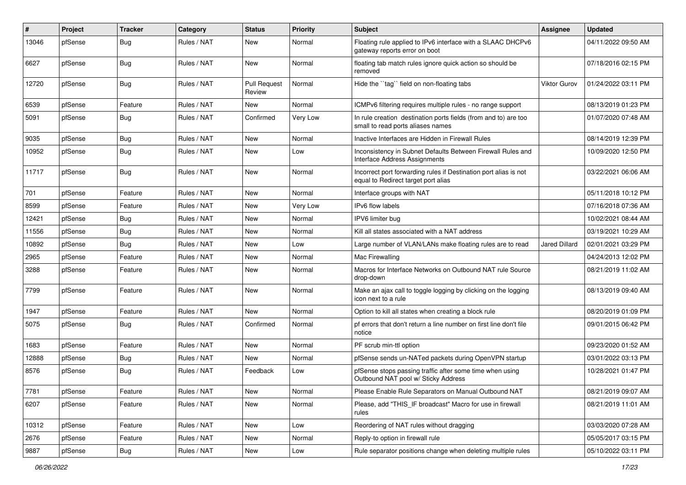| ∦     | Project | <b>Tracker</b> | Category    | <b>Status</b>                 | <b>Priority</b> | Subject                                                                                                 | <b>Assignee</b> | <b>Updated</b>      |
|-------|---------|----------------|-------------|-------------------------------|-----------------|---------------------------------------------------------------------------------------------------------|-----------------|---------------------|
| 13046 | pfSense | <b>Bug</b>     | Rules / NAT | New                           | Normal          | Floating rule applied to IPv6 interface with a SLAAC DHCPv6<br>gateway reports error on boot            |                 | 04/11/2022 09:50 AM |
| 6627  | pfSense | Bug            | Rules / NAT | New                           | Normal          | floating tab match rules ignore quick action so should be<br>removed                                    |                 | 07/18/2016 02:15 PM |
| 12720 | pfSense | Bug            | Rules / NAT | <b>Pull Request</b><br>Review | Normal          | Hide the "tag" field on non-floating tabs                                                               | Viktor Gurov    | 01/24/2022 03:11 PM |
| 6539  | pfSense | Feature        | Rules / NAT | New                           | Normal          | ICMPv6 filtering requires multiple rules - no range support                                             |                 | 08/13/2019 01:23 PM |
| 5091  | pfSense | Bug            | Rules / NAT | Confirmed                     | Very Low        | In rule creation destination ports fields (from and to) are too<br>small to read ports aliases names    |                 | 01/07/2020 07:48 AM |
| 9035  | pfSense | <b>Bug</b>     | Rules / NAT | New                           | Normal          | Inactive Interfaces are Hidden in Firewall Rules                                                        |                 | 08/14/2019 12:39 PM |
| 10952 | pfSense | Bug            | Rules / NAT | New                           | Low             | Inconsistency in Subnet Defaults Between Firewall Rules and<br>Interface Address Assignments            |                 | 10/09/2020 12:50 PM |
| 11717 | pfSense | Bug            | Rules / NAT | New                           | Normal          | Incorrect port forwarding rules if Destination port alias is not<br>equal to Redirect target port alias |                 | 03/22/2021 06:06 AM |
| 701   | pfSense | Feature        | Rules / NAT | New                           | Normal          | Interface groups with NAT                                                                               |                 | 05/11/2018 10:12 PM |
| 8599  | pfSense | Feature        | Rules / NAT | New                           | Very Low        | IPv6 flow labels                                                                                        |                 | 07/16/2018 07:36 AM |
| 12421 | pfSense | <b>Bug</b>     | Rules / NAT | New                           | Normal          | IPV6 limiter bug                                                                                        |                 | 10/02/2021 08:44 AM |
| 11556 | pfSense | <b>Bug</b>     | Rules / NAT | New                           | Normal          | Kill all states associated with a NAT address                                                           |                 | 03/19/2021 10:29 AM |
| 10892 | pfSense | <b>Bug</b>     | Rules / NAT | New                           | Low             | Large number of VLAN/LANs make floating rules are to read                                               | Jared Dillard   | 02/01/2021 03:29 PM |
| 2965  | pfSense | Feature        | Rules / NAT | New                           | Normal          | Mac Firewalling                                                                                         |                 | 04/24/2013 12:02 PM |
| 3288  | pfSense | Feature        | Rules / NAT | New                           | Normal          | Macros for Interface Networks on Outbound NAT rule Source<br>drop-down                                  |                 | 08/21/2019 11:02 AM |
| 7799  | pfSense | Feature        | Rules / NAT | New                           | Normal          | Make an ajax call to toggle logging by clicking on the logging<br>icon next to a rule                   |                 | 08/13/2019 09:40 AM |
| 1947  | pfSense | Feature        | Rules / NAT | New                           | Normal          | Option to kill all states when creating a block rule                                                    |                 | 08/20/2019 01:09 PM |
| 5075  | pfSense | Bug            | Rules / NAT | Confirmed                     | Normal          | pf errors that don't return a line number on first line don't file<br>notice                            |                 | 09/01/2015 06:42 PM |
| 1683  | pfSense | Feature        | Rules / NAT | New                           | Normal          | PF scrub min-ttl option                                                                                 |                 | 09/23/2020 01:52 AM |
| 12888 | pfSense | <b>Bug</b>     | Rules / NAT | New                           | Normal          | pfSense sends un-NATed packets during OpenVPN startup                                                   |                 | 03/01/2022 03:13 PM |
| 8576  | pfSense | Bug            | Rules / NAT | Feedback                      | Low             | pfSense stops passing traffic after some time when using<br>Outbound NAT pool w/ Sticky Address         |                 | 10/28/2021 01:47 PM |
| 7781  | pfSense | Feature        | Rules / NAT | New                           | Normal          | Please Enable Rule Separators on Manual Outbound NAT                                                    |                 | 08/21/2019 09:07 AM |
| 6207  | pfSense | Feature        | Rules / NAT | New                           | Normal          | Please, add "THIS IF broadcast" Macro for use in firewall<br>rules                                      |                 | 08/21/2019 11:01 AM |
| 10312 | pfSense | Feature        | Rules / NAT | New                           | Low             | Reordering of NAT rules without dragging                                                                |                 | 03/03/2020 07:28 AM |
| 2676  | pfSense | Feature        | Rules / NAT | New                           | Normal          | Reply-to option in firewall rule                                                                        |                 | 05/05/2017 03:15 PM |
| 9887  | pfSense | Bug            | Rules / NAT | New                           | Low             | Rule separator positions change when deleting multiple rules                                            |                 | 05/10/2022 03:11 PM |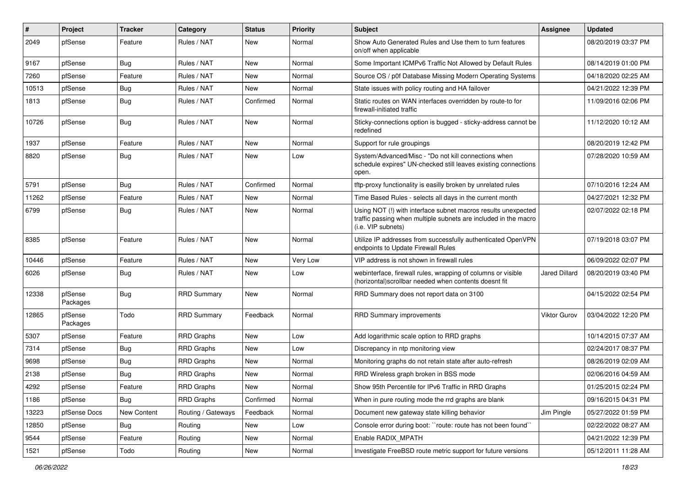| ∦     | Project             | <b>Tracker</b> | Category           | <b>Status</b> | <b>Priority</b> | Subject                                                                                                                                                | <b>Assignee</b> | <b>Updated</b>      |
|-------|---------------------|----------------|--------------------|---------------|-----------------|--------------------------------------------------------------------------------------------------------------------------------------------------------|-----------------|---------------------|
| 2049  | pfSense             | Feature        | Rules / NAT        | New           | Normal          | Show Auto Generated Rules and Use them to turn features<br>on/off when applicable                                                                      |                 | 08/20/2019 03:37 PM |
| 9167  | pfSense             | Bug            | Rules / NAT        | New           | Normal          | Some Important ICMPv6 Traffic Not Allowed by Default Rules                                                                                             |                 | 08/14/2019 01:00 PM |
| 7260  | pfSense             | Feature        | Rules / NAT        | New           | Normal          | Source OS / p0f Database Missing Modern Operating Systems                                                                                              |                 | 04/18/2020 02:25 AM |
| 10513 | pfSense             | <b>Bug</b>     | Rules / NAT        | <b>New</b>    | Normal          | State issues with policy routing and HA failover                                                                                                       |                 | 04/21/2022 12:39 PM |
| 1813  | pfSense             | <b>Bug</b>     | Rules / NAT        | Confirmed     | Normal          | Static routes on WAN interfaces overridden by route-to for<br>firewall-initiated traffic                                                               |                 | 11/09/2016 02:06 PM |
| 10726 | pfSense             | Bug            | Rules / NAT        | New           | Normal          | Sticky-connections option is bugged - sticky-address cannot be<br>redefined                                                                            |                 | 11/12/2020 10:12 AM |
| 1937  | pfSense             | Feature        | Rules / NAT        | <b>New</b>    | Normal          | Support for rule groupings                                                                                                                             |                 | 08/20/2019 12:42 PM |
| 8820  | pfSense             | <b>Bug</b>     | Rules / NAT        | New           | Low             | System/Advanced/Misc - "Do not kill connections when<br>schedule expires" UN-checked still leaves existing connections<br>open.                        |                 | 07/28/2020 10:59 AM |
| 5791  | pfSense             | Bug            | Rules / NAT        | Confirmed     | Normal          | tftp-proxy functionality is easilly broken by unrelated rules                                                                                          |                 | 07/10/2016 12:24 AM |
| 11262 | pfSense             | Feature        | Rules / NAT        | New           | Normal          | Time Based Rules - selects all days in the current month                                                                                               |                 | 04/27/2021 12:32 PM |
| 6799  | pfSense             | <b>Bug</b>     | Rules / NAT        | New           | Normal          | Using NOT (!) with interface subnet macros results unexpected<br>traffic passing when multiple subnets are included in the macro<br>(i.e. VIP subnets) |                 | 02/07/2022 02:18 PM |
| 8385  | pfSense             | Feature        | Rules / NAT        | New           | Normal          | Utilize IP addresses from successfully authenticated OpenVPN<br>endpoints to Update Firewall Rules                                                     |                 | 07/19/2018 03:07 PM |
| 10446 | pfSense             | Feature        | Rules / NAT        | <b>New</b>    | Very Low        | VIP address is not shown in firewall rules                                                                                                             |                 | 06/09/2022 02:07 PM |
| 6026  | pfSense             | Bug            | Rules / NAT        | New           | Low             | webinterface, firewall rules, wrapping of columns or visible<br>(horizontal) scrollbar needed when contents doesnt fit                                 | Jared Dillard   | 08/20/2019 03:40 PM |
| 12338 | pfSense<br>Packages | Bug            | <b>RRD Summary</b> | <b>New</b>    | Normal          | RRD Summary does not report data on 3100                                                                                                               |                 | 04/15/2022 02:54 PM |
| 12865 | pfSense<br>Packages | Todo           | <b>RRD Summary</b> | Feedback      | Normal          | <b>RRD Summary improvements</b>                                                                                                                        | Viktor Gurov    | 03/04/2022 12:20 PM |
| 5307  | pfSense             | Feature        | RRD Graphs         | New           | Low             | Add logarithmic scale option to RRD graphs                                                                                                             |                 | 10/14/2015 07:37 AM |
| 7314  | pfSense             | <b>Bug</b>     | <b>RRD Graphs</b>  | New           | Low             | Discrepancy in ntp monitoring view                                                                                                                     |                 | 02/24/2017 08:37 PM |
| 9698  | pfSense             | <b>Bug</b>     | <b>RRD Graphs</b>  | New           | Normal          | Monitoring graphs do not retain state after auto-refresh                                                                                               |                 | 08/26/2019 02:09 AM |
| 2138  | pfSense             | <b>Bug</b>     | <b>RRD Graphs</b>  | New           | Normal          | RRD Wireless graph broken in BSS mode                                                                                                                  |                 | 02/06/2016 04:59 AM |
| 4292  | pfSense             | Feature        | RRD Graphs         | New           | Normal          | Show 95th Percentile for IPv6 Traffic in RRD Graphs                                                                                                    |                 | 01/25/2015 02:24 PM |
| 1186  | pfSense             | <b>Bug</b>     | <b>RRD Graphs</b>  | Confirmed     | Normal          | When in pure routing mode the rrd graphs are blank                                                                                                     |                 | 09/16/2015 04:31 PM |
| 13223 | pfSense Docs        | New Content    | Routing / Gateways | Feedback      | Normal          | Document new gateway state killing behavior                                                                                                            | Jim Pingle      | 05/27/2022 01:59 PM |
| 12850 | pfSense             | <b>Bug</b>     | Routing            | New           | Low             | Console error during boot: "route: route has not been found"                                                                                           |                 | 02/22/2022 08:27 AM |
| 9544  | pfSense             | Feature        | Routing            | New           | Normal          | Enable RADIX MPATH                                                                                                                                     |                 | 04/21/2022 12:39 PM |
| 1521  | pfSense             | Todo           | Routing            | New           | Normal          | Investigate FreeBSD route metric support for future versions                                                                                           |                 | 05/12/2011 11:28 AM |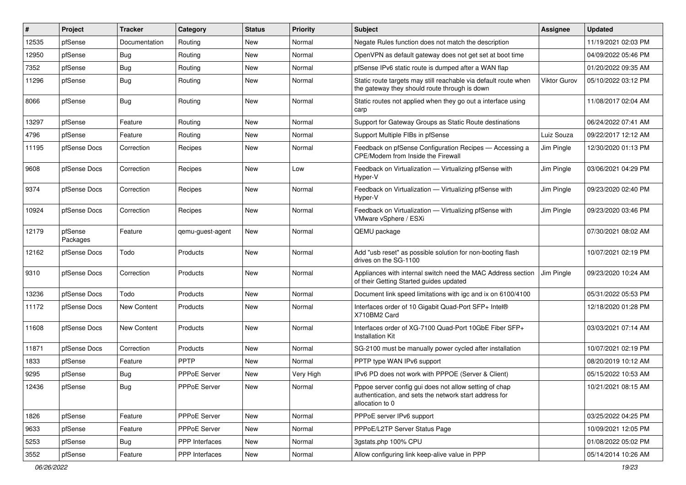| #     | Project             | <b>Tracker</b> | Category              | <b>Status</b> | <b>Priority</b> | Subject                                                                                                                             | Assignee     | <b>Updated</b>      |
|-------|---------------------|----------------|-----------------------|---------------|-----------------|-------------------------------------------------------------------------------------------------------------------------------------|--------------|---------------------|
| 12535 | pfSense             | Documentation  | Routing               | New           | Normal          | Negate Rules function does not match the description                                                                                |              | 11/19/2021 02:03 PM |
| 12950 | pfSense             | Bug            | Routing               | New           | Normal          | OpenVPN as default gateway does not get set at boot time                                                                            |              | 04/09/2022 05:46 PM |
| 7352  | pfSense             | Bug            | Routing               | New           | Normal          | pfSense IPv6 static route is dumped after a WAN flap                                                                                |              | 01/20/2022 09:35 AM |
| 11296 | pfSense             | Bug            | Routing               | New           | Normal          | Static route targets may still reachable via default route when<br>the gateway they should route through is down                    | Viktor Gurov | 05/10/2022 03:12 PM |
| 8066  | pfSense             | Bug            | Routing               | New           | Normal          | Static routes not applied when they go out a interface using<br>carp                                                                |              | 11/08/2017 02:04 AM |
| 13297 | pfSense             | Feature        | Routing               | New           | Normal          | Support for Gateway Groups as Static Route destinations                                                                             |              | 06/24/2022 07:41 AM |
| 4796  | pfSense             | Feature        | Routing               | New           | Normal          | Support Multiple FIBs in pfSense                                                                                                    | Luiz Souza   | 09/22/2017 12:12 AM |
| 11195 | pfSense Docs        | Correction     | Recipes               | New           | Normal          | Feedback on pfSense Configuration Recipes - Accessing a<br>CPE/Modem from Inside the Firewall                                       | Jim Pingle   | 12/30/2020 01:13 PM |
| 9608  | pfSense Docs        | Correction     | Recipes               | New           | Low             | Feedback on Virtualization - Virtualizing pfSense with<br>Hyper-V                                                                   | Jim Pingle   | 03/06/2021 04:29 PM |
| 9374  | pfSense Docs        | Correction     | Recipes               | New           | Normal          | Feedback on Virtualization - Virtualizing pfSense with<br>Hyper-V                                                                   | Jim Pingle   | 09/23/2020 02:40 PM |
| 10924 | pfSense Docs        | Correction     | Recipes               | New           | Normal          | Feedback on Virtualization - Virtualizing pfSense with<br>VMware vSphere / ESXi                                                     | Jim Pingle   | 09/23/2020 03:46 PM |
| 12179 | pfSense<br>Packages | Feature        | qemu-guest-agent      | New           | Normal          | QEMU package                                                                                                                        |              | 07/30/2021 08:02 AM |
| 12162 | pfSense Docs        | Todo           | Products              | New           | Normal          | Add "usb reset" as possible solution for non-booting flash<br>drives on the SG-1100                                                 |              | 10/07/2021 02:19 PM |
| 9310  | pfSense Docs        | Correction     | Products              | New           | Normal          | Appliances with internal switch need the MAC Address section<br>of their Getting Started guides updated                             | Jim Pingle   | 09/23/2020 10:24 AM |
| 13236 | pfSense Docs        | Todo           | Products              | <b>New</b>    | Normal          | Document link speed limitations with igc and ix on 6100/4100                                                                        |              | 05/31/2022 05:53 PM |
| 11172 | pfSense Docs        | New Content    | Products              | New           | Normal          | Interfaces order of 10 Gigabit Quad-Port SFP+ Intel®<br>X710BM2 Card                                                                |              | 12/18/2020 01:28 PM |
| 11608 | pfSense Docs        | New Content    | Products              | New           | Normal          | Interfaces order of XG-7100 Quad-Port 10GbE Fiber SFP+<br><b>Installation Kit</b>                                                   |              | 03/03/2021 07:14 AM |
| 11871 | pfSense Docs        | Correction     | Products              | New           | Normal          | SG-2100 must be manually power cycled after installation                                                                            |              | 10/07/2021 02:19 PM |
| 1833  | pfSense             | Feature        | PPTP                  | New           | Normal          | PPTP type WAN IPv6 support                                                                                                          |              | 08/20/2019 10:12 AM |
| 9295  | pfSense             | <b>Bug</b>     | PPPoE Server          | New           | Very High       | IPv6 PD does not work with PPPOE (Server & Client)                                                                                  |              | 05/15/2022 10:53 AM |
| 12436 | pfSense             | <b>Bug</b>     | PPPoE Server          | New           | Normal          | Pppoe server config gui does not allow setting of chap<br>authentication, and sets the network start address for<br>allocation to 0 |              | 10/21/2021 08:15 AM |
| 1826  | pfSense             | Feature        | PPPoE Server          | New           | Normal          | PPPoE server IPv6 support                                                                                                           |              | 03/25/2022 04:25 PM |
| 9633  | pfSense             | Feature        | PPPoE Server          | New           | Normal          | PPPoE/L2TP Server Status Page                                                                                                       |              | 10/09/2021 12:05 PM |
| 5253  | pfSense             | <b>Bug</b>     | <b>PPP</b> Interfaces | New           | Normal          | 3qstats.php 100% CPU                                                                                                                |              | 01/08/2022 05:02 PM |
| 3552  | pfSense             | Feature        | PPP Interfaces        | New           | Normal          | Allow configuring link keep-alive value in PPP                                                                                      |              | 05/14/2014 10:26 AM |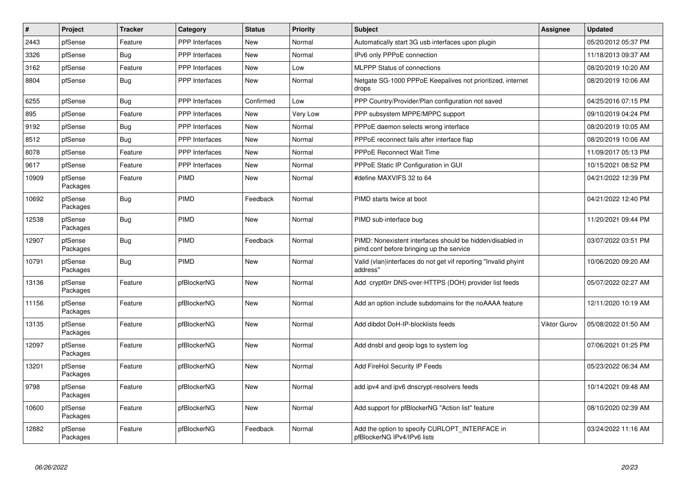| $\vert$ # | Project             | <b>Tracker</b> | Category              | <b>Status</b> | <b>Priority</b> | <b>Subject</b>                                                                                        | <b>Assignee</b>     | <b>Updated</b>      |
|-----------|---------------------|----------------|-----------------------|---------------|-----------------|-------------------------------------------------------------------------------------------------------|---------------------|---------------------|
| 2443      | pfSense             | Feature        | PPP Interfaces        | <b>New</b>    | Normal          | Automatically start 3G usb interfaces upon plugin                                                     |                     | 05/20/2012 05:37 PM |
| 3326      | pfSense             | Bug            | <b>PPP</b> Interfaces | <b>New</b>    | Normal          | IPv6 only PPPoE connection                                                                            |                     | 11/18/2013 09:37 AM |
| 3162      | pfSense             | Feature        | PPP Interfaces        | <b>New</b>    | Low             | <b>MLPPP Status of connections</b>                                                                    |                     | 08/20/2019 10:20 AM |
| 8804      | pfSense             | <b>Bug</b>     | <b>PPP</b> Interfaces | <b>New</b>    | Normal          | Netgate SG-1000 PPPoE Keepalives not prioritized, internet<br>drops                                   |                     | 08/20/2019 10:06 AM |
| 6255      | pfSense             | Bug            | <b>PPP</b> Interfaces | Confirmed     | Low             | PPP Country/Provider/Plan configuration not saved                                                     |                     | 04/25/2016 07:15 PM |
| 895       | pfSense             | Feature        | <b>PPP</b> Interfaces | <b>New</b>    | Very Low        | PPP subsystem MPPE/MPPC support                                                                       |                     | 09/10/2019 04:24 PM |
| 9192      | pfSense             | Bug            | PPP Interfaces        | <b>New</b>    | Normal          | PPPoE daemon selects wrong interface                                                                  |                     | 08/20/2019 10:05 AM |
| 8512      | pfSense             | Bug            | <b>PPP</b> Interfaces | <b>New</b>    | Normal          | PPPoE reconnect fails after interface flap                                                            |                     | 08/20/2019 10:06 AM |
| 8078      | pfSense             | Feature        | <b>PPP</b> Interfaces | New           | Normal          | <b>PPPoE Reconnect Wait Time</b>                                                                      |                     | 11/09/2017 05:13 PM |
| 9617      | pfSense             | Feature        | <b>PPP</b> Interfaces | <b>New</b>    | Normal          | PPPoE Static IP Configuration in GUI                                                                  |                     | 10/15/2021 08:52 PM |
| 10909     | pfSense<br>Packages | Feature        | <b>PIMD</b>           | New           | Normal          | #define MAXVIFS 32 to 64                                                                              |                     | 04/21/2022 12:39 PM |
| 10692     | pfSense<br>Packages | Bug            | PIMD                  | Feedback      | Normal          | PIMD starts twice at boot                                                                             |                     | 04/21/2022 12:40 PM |
| 12538     | pfSense<br>Packages | Bug            | PIMD                  | <b>New</b>    | Normal          | PIMD sub-interface bug                                                                                |                     | 11/20/2021 09:44 PM |
| 12907     | pfSense<br>Packages | Bug            | PIMD                  | Feedback      | Normal          | PIMD: Nonexistent interfaces should be hidden/disabled in<br>pimd.conf before bringing up the service |                     | 03/07/2022 03:51 PM |
| 10791     | pfSense<br>Packages | Bug            | <b>PIMD</b>           | <b>New</b>    | Normal          | Valid (vlan)interfaces do not get vif reporting "Invalid phyint<br>address"                           |                     | 10/06/2020 09:20 AM |
| 13136     | pfSense<br>Packages | Feature        | pfBlockerNG           | <b>New</b>    | Normal          | Add crypt0rr DNS-over-HTTPS (DOH) provider list feeds                                                 |                     | 05/07/2022 02:27 AM |
| 11156     | pfSense<br>Packages | Feature        | pfBlockerNG           | <b>New</b>    | Normal          | Add an option include subdomains for the noAAAA feature                                               |                     | 12/11/2020 10:19 AM |
| 13135     | pfSense<br>Packages | Feature        | pfBlockerNG           | New           | Normal          | Add dibdot DoH-IP-blocklists feeds                                                                    | <b>Viktor Gurov</b> | 05/08/2022 01:50 AM |
| 12097     | pfSense<br>Packages | Feature        | pfBlockerNG           | <b>New</b>    | Normal          | Add dnsbl and geoip logs to system log                                                                |                     | 07/06/2021 01:25 PM |
| 13201     | pfSense<br>Packages | Feature        | pfBlockerNG           | <b>New</b>    | Normal          | Add FireHol Security IP Feeds                                                                         |                     | 05/23/2022 06:34 AM |
| 9798      | pfSense<br>Packages | Feature        | pfBlockerNG           | <b>New</b>    | Normal          | add ipv4 and ipv6 dnscrypt-resolvers feeds                                                            |                     | 10/14/2021 09:48 AM |
| 10600     | pfSense<br>Packages | Feature        | pfBlockerNG           | <b>New</b>    | Normal          | Add support for pfBlockerNG "Action list" feature                                                     |                     | 08/10/2020 02:39 AM |
| 12882     | pfSense<br>Packages | Feature        | pfBlockerNG           | Feedback      | Normal          | Add the option to specify CURLOPT_INTERFACE in<br>pfBlockerNG IPv4/IPv6 lists                         |                     | 03/24/2022 11:16 AM |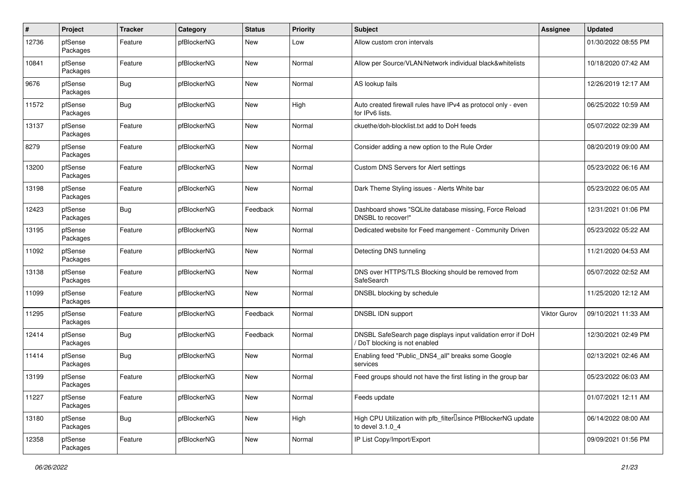| $\#$  | Project             | <b>Tracker</b> | Category    | <b>Status</b> | <b>Priority</b> | <b>Subject</b>                                                                              | <b>Assignee</b> | <b>Updated</b>      |
|-------|---------------------|----------------|-------------|---------------|-----------------|---------------------------------------------------------------------------------------------|-----------------|---------------------|
| 12736 | pfSense<br>Packages | Feature        | pfBlockerNG | New           | Low             | Allow custom cron intervals                                                                 |                 | 01/30/2022 08:55 PM |
| 10841 | pfSense<br>Packages | Feature        | pfBlockerNG | New           | Normal          | Allow per Source/VLAN/Network individual black&whitelists                                   |                 | 10/18/2020 07:42 AM |
| 9676  | pfSense<br>Packages | Bug            | pfBlockerNG | New           | Normal          | AS lookup fails                                                                             |                 | 12/26/2019 12:17 AM |
| 11572 | pfSense<br>Packages | Bug            | pfBlockerNG | New           | High            | Auto created firewall rules have IPv4 as protocol only - even<br>for IPv6 lists.            |                 | 06/25/2022 10:59 AM |
| 13137 | pfSense<br>Packages | Feature        | pfBlockerNG | New           | Normal          | ckuethe/doh-blocklist.txt add to DoH feeds                                                  |                 | 05/07/2022 02:39 AM |
| 8279  | pfSense<br>Packages | Feature        | pfBlockerNG | New           | Normal          | Consider adding a new option to the Rule Order                                              |                 | 08/20/2019 09:00 AM |
| 13200 | pfSense<br>Packages | Feature        | pfBlockerNG | New           | Normal          | Custom DNS Servers for Alert settings                                                       |                 | 05/23/2022 06:16 AM |
| 13198 | pfSense<br>Packages | Feature        | pfBlockerNG | New           | Normal          | Dark Theme Styling issues - Alerts White bar                                                |                 | 05/23/2022 06:05 AM |
| 12423 | pfSense<br>Packages | Bug            | pfBlockerNG | Feedback      | Normal          | Dashboard shows "SQLite database missing, Force Reload<br>DNSBL to recover!"                |                 | 12/31/2021 01:06 PM |
| 13195 | pfSense<br>Packages | Feature        | pfBlockerNG | New           | Normal          | Dedicated website for Feed mangement - Community Driven                                     |                 | 05/23/2022 05:22 AM |
| 11092 | pfSense<br>Packages | Feature        | pfBlockerNG | <b>New</b>    | Normal          | Detecting DNS tunneling                                                                     |                 | 11/21/2020 04:53 AM |
| 13138 | pfSense<br>Packages | Feature        | pfBlockerNG | New           | Normal          | DNS over HTTPS/TLS Blocking should be removed from<br>SafeSearch                            |                 | 05/07/2022 02:52 AM |
| 11099 | pfSense<br>Packages | Feature        | pfBlockerNG | New           | Normal          | DNSBL blocking by schedule                                                                  |                 | 11/25/2020 12:12 AM |
| 11295 | pfSense<br>Packages | Feature        | pfBlockerNG | Feedback      | Normal          | DNSBL IDN support                                                                           | Viktor Gurov    | 09/10/2021 11:33 AM |
| 12414 | pfSense<br>Packages | Bug            | pfBlockerNG | Feedback      | Normal          | DNSBL SafeSearch page displays input validation error if DoH<br>DoT blocking is not enabled |                 | 12/30/2021 02:49 PM |
| 11414 | pfSense<br>Packages | Bug            | pfBlockerNG | New           | Normal          | Enabling feed "Public_DNS4_all" breaks some Google<br>services                              |                 | 02/13/2021 02:46 AM |
| 13199 | pfSense<br>Packages | Feature        | pfBlockerNG | New           | Normal          | Feed groups should not have the first listing in the group bar                              |                 | 05/23/2022 06:03 AM |
| 11227 | pfSense<br>Packages | Feature        | pfBlockerNG | New           | Normal          | Feeds update                                                                                |                 | 01/07/2021 12:11 AM |
| 13180 | pfSense<br>Packages | <b>Bug</b>     | pfBlockerNG | <b>New</b>    | High            | High CPU Utilization with pfb_filterlsince PfBlockerNG update<br>to devel 3.1.0_4           |                 | 06/14/2022 08:00 AM |
| 12358 | pfSense<br>Packages | Feature        | pfBlockerNG | New           | Normal          | IP List Copy/Import/Export                                                                  |                 | 09/09/2021 01:56 PM |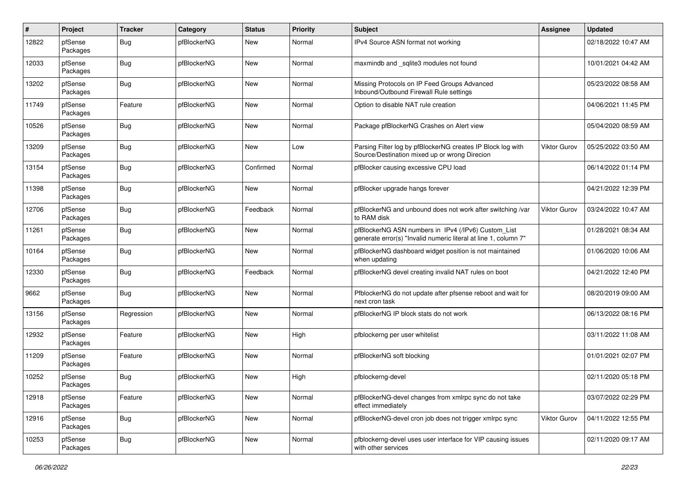| #     | Project             | <b>Tracker</b> | Category    | <b>Status</b> | <b>Priority</b> | <b>Subject</b>                                                                                                         | Assignee     | <b>Updated</b>      |
|-------|---------------------|----------------|-------------|---------------|-----------------|------------------------------------------------------------------------------------------------------------------------|--------------|---------------------|
| 12822 | pfSense<br>Packages | <b>Bug</b>     | pfBlockerNG | New           | Normal          | IPv4 Source ASN format not working                                                                                     |              | 02/18/2022 10:47 AM |
| 12033 | pfSense<br>Packages | <b>Bug</b>     | pfBlockerNG | New           | Normal          | maxmindb and _sqlite3 modules not found                                                                                |              | 10/01/2021 04:42 AM |
| 13202 | pfSense<br>Packages | Bug            | pfBlockerNG | <b>New</b>    | Normal          | Missing Protocols on IP Feed Groups Advanced<br>Inbound/Outbound Firewall Rule settings                                |              | 05/23/2022 08:58 AM |
| 11749 | pfSense<br>Packages | Feature        | pfBlockerNG | New           | Normal          | Option to disable NAT rule creation                                                                                    |              | 04/06/2021 11:45 PM |
| 10526 | pfSense<br>Packages | <b>Bug</b>     | pfBlockerNG | <b>New</b>    | Normal          | Package pfBlockerNG Crashes on Alert view                                                                              |              | 05/04/2020 08:59 AM |
| 13209 | pfSense<br>Packages | <b>Bug</b>     | pfBlockerNG | New           | Low             | Parsing Filter log by pfBlockerNG creates IP Block log with<br>Source/Destination mixed up or wrong Direcion           | Viktor Gurov | 05/25/2022 03:50 AM |
| 13154 | pfSense<br>Packages | <b>Bug</b>     | pfBlockerNG | Confirmed     | Normal          | pfBlocker causing excessive CPU load                                                                                   |              | 06/14/2022 01:14 PM |
| 11398 | pfSense<br>Packages | <b>Bug</b>     | pfBlockerNG | New           | Normal          | pfBlocker upgrade hangs forever                                                                                        |              | 04/21/2022 12:39 PM |
| 12706 | pfSense<br>Packages | <b>Bug</b>     | pfBlockerNG | Feedback      | Normal          | pfBlockerNG and unbound does not work after switching /var<br>to RAM disk                                              | Viktor Gurov | 03/24/2022 10:47 AM |
| 11261 | pfSense<br>Packages | <b>Bug</b>     | pfBlockerNG | <b>New</b>    | Normal          | pfBlockerNG ASN numbers in IPv4 (/IPv6) Custom_List<br>generate error(s) "Invalid numeric literal at line 1, column 7" |              | 01/28/2021 08:34 AM |
| 10164 | pfSense<br>Packages | Bug            | pfBlockerNG | <b>New</b>    | Normal          | pfBlockerNG dashboard widget position is not maintained<br>when updating                                               |              | 01/06/2020 10:06 AM |
| 12330 | pfSense<br>Packages | <b>Bug</b>     | pfBlockerNG | Feedback      | Normal          | pfBlockerNG devel creating invalid NAT rules on boot                                                                   |              | 04/21/2022 12:40 PM |
| 9662  | pfSense<br>Packages | <b>Bug</b>     | pfBlockerNG | New           | Normal          | PfblockerNG do not update after pfsense reboot and wait for<br>next cron task                                          |              | 08/20/2019 09:00 AM |
| 13156 | pfSense<br>Packages | Regression     | pfBlockerNG | New           | Normal          | pfBlockerNG IP block stats do not work                                                                                 |              | 06/13/2022 08:16 PM |
| 12932 | pfSense<br>Packages | Feature        | pfBlockerNG | New           | High            | pfblockerng per user whitelist                                                                                         |              | 03/11/2022 11:08 AM |
| 11209 | pfSense<br>Packages | Feature        | pfBlockerNG | New           | Normal          | pfBlockerNG soft blocking                                                                                              |              | 01/01/2021 02:07 PM |
| 10252 | pfSense<br>Packages | <b>Bug</b>     | pfBlockerNG | <b>New</b>    | High            | pfblockerng-devel                                                                                                      |              | 02/11/2020 05:18 PM |
| 12918 | pfSense<br>Packages | Feature        | pfBlockerNG | New           | Normal          | pfBlockerNG-devel changes from xmlrpc sync do not take<br>effect immediately                                           |              | 03/07/2022 02:29 PM |
| 12916 | pfSense<br>Packages | <b>Bug</b>     | pfBlockerNG | <b>New</b>    | Normal          | pfBlockerNG-devel cron job does not trigger xmlrpc sync                                                                | Viktor Gurov | 04/11/2022 12:55 PM |
| 10253 | pfSense<br>Packages | <b>Bug</b>     | pfBlockerNG | New           | Normal          | pfblockerng-devel uses user interface for VIP causing issues<br>with other services                                    |              | 02/11/2020 09:17 AM |